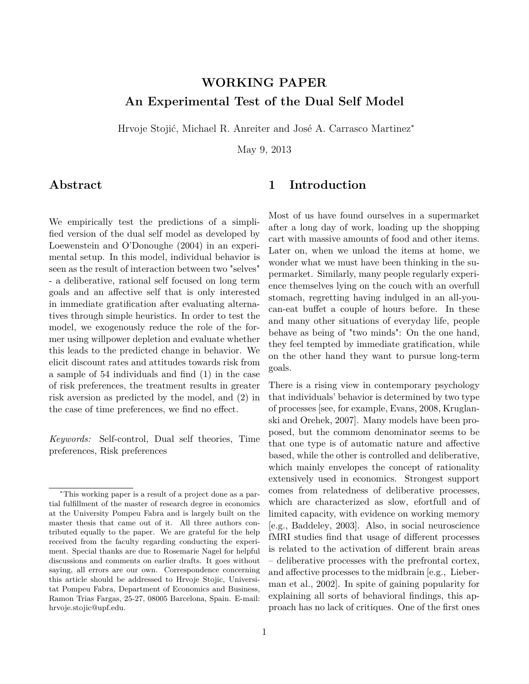# **WORKING PAPER An Experimental Test of the Dual Self Model**

Hrvoje Stojić, Michael R. Anreiter and José A. Carrasco Martinez<sup>∗</sup>

May 9, 2013

# **Abstract**

### <span id="page-0-0"></span>**1 Introduction**

We empirically test the predictions of a simplified version of the dual self model as developed by Loewenstein and O'Donoughe (2004) in an experimental setup. In this model, individual behavior is seen as the result of interaction between two "selves" - a deliberative, rational self focused on long term goals and an affective self that is only interested in immediate gratification after evaluating alternatives through simple heuristics. In order to test the model, we exogenously reduce the role of the former using willpower depletion and evaluate whether this leads to the predicted change in behavior. We elicit discount rates and attitudes towards risk from a sample of 54 individuals and find (1) in the case of risk preferences, the treatment results in greater risk aversion as predicted by the model, and (2) in the case of time preferences, we find no effect.

*Keywords:* Self-control, Dual self theories, Time preferences, Risk preferences

Most of us have found ourselves in a supermarket after a long day of work, loading up the shopping cart with massive amounts of food and other items. Later on, when we unload the items at home, we wonder what we must have been thinking in the supermarket. Similarly, many people regularly experience themselves lying on the couch with an overfull stomach, regretting having indulged in an all-youcan-eat buffet a couple of hours before. In these and many other situations of everyday life, people behave as being of "two minds": On the one hand, they feel tempted by immediate gratification, while on the other hand they want to pursue long-term goals.

There is a rising view in contemporary psychology that individuals' behavior is determined by two type of processes [see, for example, [Evans, 2008,](#page-17-0) [Kruglan](#page-17-1)[ski and Orehek, 2007\]](#page-17-1). Many models have been proposed, but the commom denominator seems to be that one type is of automatic nature and affective based, while the other is controlled and deliberative, which mainly envelopes the concept of rationality extensively used in economics. Strongest support comes from relatedness of deliberative processes, which are characterized as slow, efortfull and of limited capacity, with evidence on working memory [e.g., [Baddeley, 2003\]](#page-16-0). Also, in social neuroscience fMRI studies find that usage of different processes is related to the activation of different brain areas – deliberative processes with the prefrontal cortex, and affective processes to the midbrain [e.g., [Lieber](#page-17-2)[man et al., 2002\]](#page-17-2). In spite of gaining popularity for explaining all sorts of behavioral findings, this approach has no lack of critiques. One of the first ones

<sup>∗</sup>This working paper is a result of a project done as a partial fulfillment of the master of research degree in economics at the University Pompeu Fabra and is largely built on the master thesis that came out of it. All three authors contributed equally to the paper. We are grateful for the help received from the faculty regarding conducting the experiment. Special thanks are due to Rosemarie Nagel for helpful discussions and comments on earlier drafts. It goes without saying, all errors are our own. Correspondence concerning this article should be addressed to Hrvoje Stojic, Universitat Pompeu Fabra, Department of Economics and Business, Ramon Trias Fargas, 25-27, 08005 Barcelona, Spain. E-mail: hrvoje.stojic@upf.edu.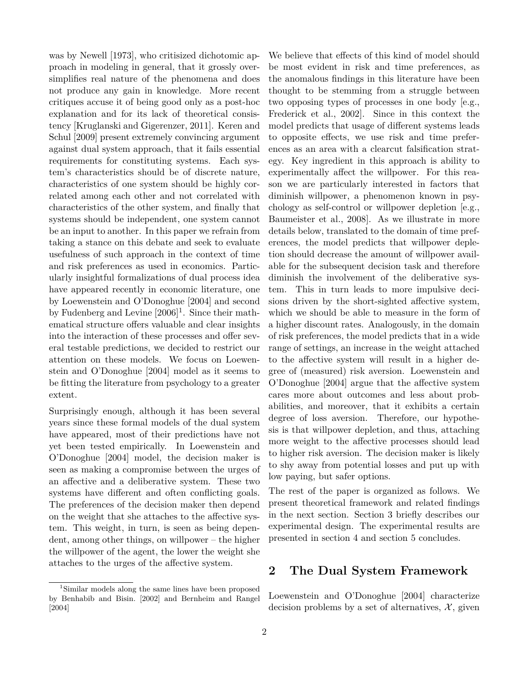was by [Newell](#page-18-0) [\[1973\]](#page-18-0), who critisized dichotomic approach in modeling in general, that it grossly oversimplifies real nature of the phenomena and does not produce any gain in knowledge. More recent critiques accuse it of being good only as a post-hoc explanation and for its lack of theoretical consistency [\[Kruglanski and Gigerenzer, 2011\]](#page-17-3). [Keren and](#page-17-4) [Schul](#page-17-4) [\[2009\]](#page-17-4) present extremely convincing argument against dual system approach, that it fails essential requirements for constituting systems. Each system's characteristics should be of discrete nature, characteristics of one system should be highly correlated among each other and not correlated with characteristics of the other system, and finally that systems should be independent, one system cannot be an input to another. In this paper we refrain from taking a stance on this debate and seek to evaluate usefulness of such approach in the context of time and risk preferences as used in economics. Particularly insightful formalizations of dual process idea have appeared recently in economic literature, one by [Loewenstein and O'Donoghue](#page-17-5) [\[2004\]](#page-17-5) and second by [Fudenberg and Levine](#page-17-6)  $[2006]$ <sup>[1](#page-1-0)</sup>. Since their mathematical structure offers valuable and clear insights into the interaction of these processes and offer several testable predictions, we decided to restrict our attention on these models. We focus on [Loewen](#page-17-5)[stein and O'Donoghue](#page-17-5) [\[2004\]](#page-17-5) model as it seems to be fitting the literature from psychology to a greater extent.

Surprisingly enough, although it has been several years since these formal models of the dual system have appeared, most of their predictions have not yet been tested empirically. In [Loewenstein and](#page-17-5) [O'Donoghue](#page-17-5) [\[2004\]](#page-17-5) model, the decision maker is seen as making a compromise between the urges of an affective and a deliberative system. These two systems have different and often conflicting goals. The preferences of the decision maker then depend on the weight that she attaches to the affective system. This weight, in turn, is seen as being dependent, among other things, on willpower – the higher the willpower of the agent, the lower the weight she attaches to the urges of the affective system.

We believe that effects of this kind of model should be most evident in risk and time preferences, as the anomalous findings in this literature have been thought to be stemming from a struggle between two opposing types of processes in one body [e.g., [Frederick et al., 2002\]](#page-17-7). Since in this context the model predicts that usage of different systems leads to opposite effects, we use risk and time preferences as an area with a clearcut falsification strategy. Key ingredient in this approach is ability to experimentally affect the willpower. For this reason we are particularly interested in factors that diminish willpower, a phenomenon known in psychology as self-control or willpower depletion [e.g., [Baumeister et al., 2008\]](#page-16-3). As we illustrate in more details below, translated to the domain of time preferences, the model predicts that willpower depletion should decrease the amount of willpower available for the subsequent decision task and therefore diminish the involvement of the deliberative system. This in turn leads to more impulsive decisions driven by the short-sighted affective system, which we should be able to measure in the form of a higher discount rates. Analogously, in the domain of risk preferences, the model predicts that in a wide range of settings, an increase in the weight attached to the affective system will result in a higher degree of (measured) risk aversion. [Loewenstein and](#page-17-5) [O'Donoghue](#page-17-5) [\[2004\]](#page-17-5) argue that the affective system cares more about outcomes and less about probabilities, and moreover, that it exhibits a certain degree of loss aversion. Therefore, our hypothesis is that willpower depletion, and thus, attaching more weight to the affective processes should lead to higher risk aversion. The decision maker is likely to shy away from potential losses and put up with low paying, but safer options.

The rest of the paper is organized as follows. We present theoretical framework and related findings in the next section. Section 3 briefly describes our experimental design. The experimental results are presented in section 4 and section 5 concludes.

### <span id="page-1-1"></span>**2 The Dual System Framework**

[Loewenstein and O'Donoghue](#page-17-5) [\[2004\]](#page-17-5) characterize decision problems by a set of alternatives,  $\mathcal{X}$ , given

<span id="page-1-0"></span><sup>1</sup>Similar models along the same lines have been proposed by [Benhabib and Bisin.](#page-16-1) [\[2002\]](#page-16-1) and [Bernheim and Rangel](#page-16-2) [\[2004\]](#page-16-2)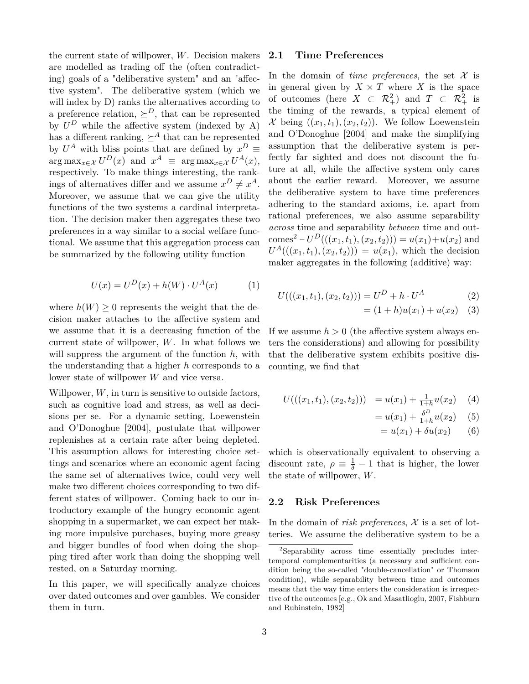the current state of willpower, *W*. Decision makers are modelled as trading off the (often contradicting) goals of a "deliberative system" and an "affective system". The deliberative system (which we will index by D) ranks the alternatives according to a preference relation,  $\Sigma^D$ , that can be represented by  $U^D$  while the affective system (indexed by A) has a different ranking,  $\succeq^A$  that can be represented by  $U^A$  with bliss points that are defined by  $x^D \equiv$  $\arg \max_{x \in \mathcal{X}} U^D(x)$  and  $x^A \equiv \arg \max_{x \in \mathcal{X}} U^A(x)$ , respectively. To make things interesting, the rankings of alternatives differ and we assume  $x^D \neq x^A$ . Moreover, we assume that we can give the utility functions of the two systems a cardinal interpretation. The decision maker then aggregates these two preferences in a way similar to a social welfare functional. We assume that this aggregation process can be summarized by the following utility function

<span id="page-2-2"></span>
$$
U(x) = UD(x) + h(W) \cdot UA(x)
$$
 (1)

where  $h(W) \geq 0$  represents the weight that the decision maker attaches to the affective system and we assume that it is a decreasing function of the current state of willpower, *W*. In what follows we will suppress the argument of the function *h*, with the understanding that a higher *h* corresponds to a lower state of willpower *W* and vice versa.

Willpower, *W*, in turn is sensitive to outside factors, such as cognitive load and stress, as well as decisions per se. For a dynamic setting, [Loewenstein](#page-17-5) [and O'Donoghue](#page-17-5) [\[2004\]](#page-17-5), postulate that willpower replenishes at a certain rate after being depleted. This assumption allows for interesting choice settings and scenarios where an economic agent facing the same set of alternatives twice, could very well make two different choices corresponding to two different states of willpower. Coming back to our introductory example of the hungry economic agent shopping in a supermarket, we can expect her making more impulsive purchases, buying more greasy and bigger bundles of food when doing the shopping tired after work than doing the shopping well rested, on a Saturday morning.

In this paper, we will specifically analyze choices over dated outcomes and over gambles. We consider them in turn.

#### <span id="page-2-3"></span>**2.1 Time Preferences**

In the domain of *time preferences*, the set  $X$  is in general given by  $X \times T$  where *X* is the space of outcomes (here  $X \subset \mathcal{R}_+^2$ ) and  $T \subset \mathcal{R}_+^2$  is the timing of the rewards, a typical element of  $\mathcal{X}$  being  $((x_1, t_1), (x_2, t_2))$ . We follow [Loewenstein](#page-17-5) [and O'Donoghue](#page-17-5) [\[2004\]](#page-17-5) and make the simplifying assumption that the deliberative system is perfectly far sighted and does not discount the future at all, while the affective system only cares about the earlier reward. Moreover, we assume the deliberative system to have time preferences adhering to the standard axioms, i.e. apart from rational preferences, we also assume separability *across* time and separability *between* time and out- $\text{comes}^2 - U^D(((x_1, t_1), (x_2, t_2))) = u(x_1) + u(x_2)$  $\text{comes}^2 - U^D(((x_1, t_1), (x_2, t_2))) = u(x_1) + u(x_2)$  $\text{comes}^2 - U^D(((x_1, t_1), (x_2, t_2))) = u(x_1) + u(x_2)$  and  $U^A((x_1, t_1), (x_2, t_2)) = u(x_1)$ , which the decision maker aggregates in the following (additive) way:

$$
U(((x_1, t_1), (x_2, t_2))) = U^D + h \cdot U^A \tag{2}
$$

$$
= (1+h)u(x_1) + u(x_2) \quad (3)
$$

If we assume  $h > 0$  (the affective system always enters the considerations) and allowing for possibility that the deliberative system exhibits positive discounting, we find that

<span id="page-2-1"></span>
$$
U(((x_1, t_1), (x_2, t_2))) = u(x_1) + \frac{1}{1+h}u(x_2) \quad (4)
$$

$$
= u(x_1) + \frac{\delta^D}{1+h} u(x_2) \quad (5)
$$

$$
= u(x_1) + \delta u(x_2) \qquad (6)
$$

which is observationally equivalent to observing a discount rate,  $\rho \equiv \frac{1}{\delta} - 1$  that is higher, the lower the state of willpower, *W*.

### **2.2 Risk Preferences**

In the domain of *risk preferences*,  $X$  is a set of lotteries. We assume the deliberative system to be a

<span id="page-2-0"></span><sup>2</sup>Separability across time essentially precludes intertemporal complementarities (a necessary and sufficient condition being the so-called "double-cancellation" or Thomson condition), while separability between time and outcomes means that the way time enters the consideration is irrespective of the outcomes [e.g., [Ok and Masatlioglu, 2007,](#page-18-1) [Fishburn](#page-17-8) [and Rubinstein, 1982\]](#page-17-8)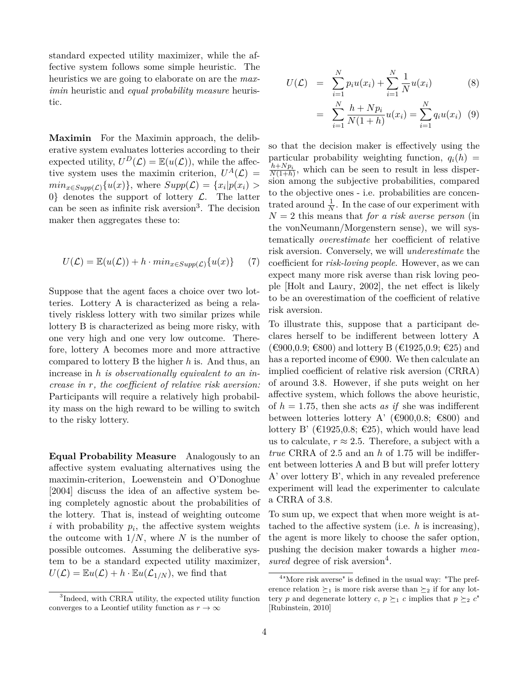standard expected utility maximizer, while the affective system follows some simple heuristic. The heuristics we are going to elaborate on are the *maximin* heuristic and *equal probability measure* heuristic.

**Maximin** For the Maximin approach, the deliberative system evaluates lotteries according to their expected utility,  $U^D(\mathcal{L}) = \mathbb{E}(u(\mathcal{L}))$ , while the affective system uses the maximin criterion,  $U^A(\mathcal{L}) =$  $min_{x \in Supp(\mathcal{L})} \{u(x)\},$  where  $Supp(\mathcal{L}) = \{x_i | p(x_i) > \}$ 0} denotes the support of lottery  $\mathcal{L}$ . The latter can be seen as infinite risk aversion<sup>[3](#page-3-0)</sup>. The decision maker then aggregates these to:

<span id="page-3-2"></span>
$$
U(\mathcal{L}) = \mathbb{E}(u(\mathcal{L})) + h \cdot min_{x \in Supp(\mathcal{L})} \{u(x)\} \tag{7}
$$

Suppose that the agent faces a choice over two lotteries. Lottery A is characterized as being a relatively riskless lottery with two similar prizes while lottery B is characterized as being more risky, with one very high and one very low outcome. Therefore, lottery A becomes more and more attractive compared to lottery B the higher *h* is. And thus, an increase in *h is observationally equivalent to an increase in r, the coefficient of relative risk aversion:* Participants will require a relatively high probability mass on the high reward to be willing to switch to the risky lottery.

<span id="page-3-4"></span>**Equal Probability Measure** Analogously to an affective system evaluating alternatives using the maximin-criterion, [Loewenstein and O'Donoghue](#page-17-5) [\[2004\]](#page-17-5) discuss the idea of an affective system being completely agnostic about the probabilities of the lottery. That is, instead of weighting outcome  $i$  with probability  $p_i$ , the affective system weights the outcome with  $1/N$ , where N is the number of possible outcomes. Assuming the deliberative system to be a standard expected utility maximizer,  $U(\mathcal{L}) = \mathbb{E}u(\mathcal{L}) + h \cdot \mathbb{E}u(\mathcal{L}_{1/N})$ , we find that

<span id="page-3-3"></span>
$$
U(\mathcal{L}) = \sum_{i=1}^{N} p_i u(x_i) + \sum_{i=1}^{N} \frac{1}{N} u(x_i)
$$
 (8)

$$
= \sum_{i=1}^{N} \frac{h + N p_i}{N(1+h)} u(x_i) = \sum_{i=1}^{N} q_i u(x_i) \quad (9)
$$

so that the decision maker is effectively using the particular probability weighting function,  $q_i(h)$  $\frac{h+Np_i}{N(1+h)}$ , which can be seen to result in less dispersion among the subjective probabilities, compared to the objective ones - i.e. probabilities are concentrated around  $\frac{1}{N}$ . In the case of our experiment with  $N = 2$  this means that *for a risk averse person* (in the vonNeumann/Morgenstern sense), we will systematically *overestimate* her coefficient of relative risk aversion. Conversely, we will *underestimate* the coefficient for *risk-loving people*. However, as we can expect many more risk averse than risk loving people [\[Holt and Laury, 2002\]](#page-17-9), the net effect is likely to be an overestimation of the coefficient of relative risk aversion.

To illustrate this, suppose that a participant declares herself to be indifferent between lottery A (€900,0.9; €800) and lottery B (€1925,0.9; €25) and has a reported income of  $\epsilon$ 900. We then calculate an implied coefficient of relative risk aversion (CRRA) of around 3*.*8. However, if she puts weight on her affective system, which follows the above heuristic, of  $h = 1.75$ , then she acts *as if* she was indifferent between lotteries lottery A' ( $\epsilon$ 900,0.8;  $\epsilon$ 800) and lottery B' ( $\text{\textsterling}1925, 0.8; \text{\textsterling}25$ ), which would have lead us to calculate,  $r \approx 2.5$ . Therefore, a subject with a *true* CRRA of 2*.*5 and an *h* of 1*.*75 will be indifferent between lotteries A and B but will prefer lottery A' over lottery B', which in any revealed preference experiment will lead the experimenter to calculate a CRRA of 3*.*8.

To sum up, we expect that when more weight is attached to the affective system (i.e. *h* is increasing), the agent is more likely to choose the safer option, pushing the decision maker towards a higher *mea-*sured degree of risk aversion<sup>[4](#page-3-1)</sup>.

<span id="page-3-0"></span><sup>3</sup> Indeed, with CRRA utility, the expected utility function converges to a Leontief utility function as  $r \to \infty$ 

<span id="page-3-1"></span><sup>4</sup> "More risk averse" is defined in the usual way: "The preference relation  $\succeq_1$  is more risk averse than  $\succeq_2$  if for any lottery *p* and degenerate lottery *c*,  $p \succeq_1 c$  implies that  $p \succeq_2 c$ <sup>"</sup> [\[Rubinstein, 2010\]](#page-18-2)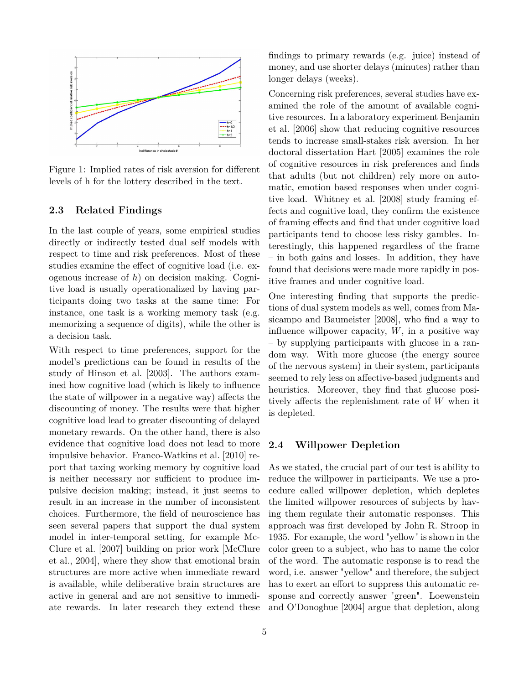

Figure 1: Implied rates of risk aversion for different levels of h for the lottery described in the text.

#### <span id="page-4-1"></span>**2.3 Related Findings**

In the last couple of years, some empirical studies directly or indirectly tested dual self models with respect to time and risk preferences. Most of these studies examine the effect of cognitive load (i.e. exogenous increase of *h*) on decision making. Cognitive load is usually operationalized by having participants doing two tasks at the same time: For instance, one task is a working memory task (e.g. memorizing a sequence of digits), while the other is a decision task.

With respect to time preferences, support for the model's predictions can be found in results of the study of [Hinson et al.](#page-17-10) [\[2003\]](#page-17-10). The authors examined how cognitive load (which is likely to influence the state of willpower in a negative way) affects the discounting of money. The results were that higher cognitive load lead to greater discounting of delayed monetary rewards. On the other hand, there is also evidence that cognitive load does not lead to more impulsive behavior. [Franco-Watkins et al.](#page-17-11) [\[2010\]](#page-17-11) report that taxing working memory by cognitive load is neither necessary nor sufficient to produce impulsive decision making; instead, it just seems to result in an increase in the number of inconsistent choices. Furthermore, the field of neuroscience has seen several papers that support the dual system model in inter-temporal setting, for example [Mc-](#page-18-3)[Clure et al.](#page-18-3) [\[2007\]](#page-18-3) building on prior work [\[McClure](#page-18-4) [et al., 2004\]](#page-18-4), where they show that emotional brain structures are more active when immediate reward is available, while deliberative brain structures are active in general and are not sensitive to immediate rewards. In later research they extend these findings to primary rewards (e.g. juice) instead of money, and use shorter delays (minutes) rather than longer delays (weeks).

Concerning risk preferences, several studies have examined the role of the amount of available cognitive resources. In a laboratory experiment [Benjamin](#page-16-4) [et al.](#page-16-4) [\[2006\]](#page-16-4) show that reducing cognitive resources tends to increase small-stakes risk aversion. In her doctoral dissertation [Hart](#page-17-12) [\[2005\]](#page-17-12) examines the role of cognitive resources in risk preferences and finds that adults (but not children) rely more on automatic, emotion based responses when under cognitive load. [Whitney et al.](#page-19-0) [\[2008\]](#page-19-0) study framing effects and cognitive load, they confirm the existence of framing effects and find that under cognitive load participants tend to choose less risky gambles. Interestingly, this happened regardless of the frame – in both gains and losses. In addition, they have found that decisions were made more rapidly in positive frames and under cognitive load.

One interesting finding that supports the predictions of dual system models as well, comes from [Ma](#page-18-5)[sicampo and Baumeister](#page-18-5) [\[2008\]](#page-18-5), who find a way to influence willpower capacity, *W*, in a positive way – by supplying participants with glucose in a random way. With more glucose (the energy source of the nervous system) in their system, participants seemed to rely less on affective-based judgments and heuristics. Moreover, they find that glucose positively affects the replenishment rate of *W* when it is depleted.

### <span id="page-4-0"></span>**2.4 Willpower Depletion**

As we stated, the crucial part of our test is ability to reduce the willpower in participants. We use a procedure called willpower depletion, which depletes the limited willpower resources of subjects by having them regulate their automatic responses. This approach was first developed by John R. Stroop in 1935. For example, the word "yellow" is shown in the color green to a subject, who has to name the color of the word. The automatic response is to read the word, i.e. answer "yellow" and therefore, the subject has to exert an effort to suppress this automatic response and correctly answer "green". [Loewenstein](#page-17-5) [and O'Donoghue](#page-17-5) [\[2004\]](#page-17-5) argue that depletion, along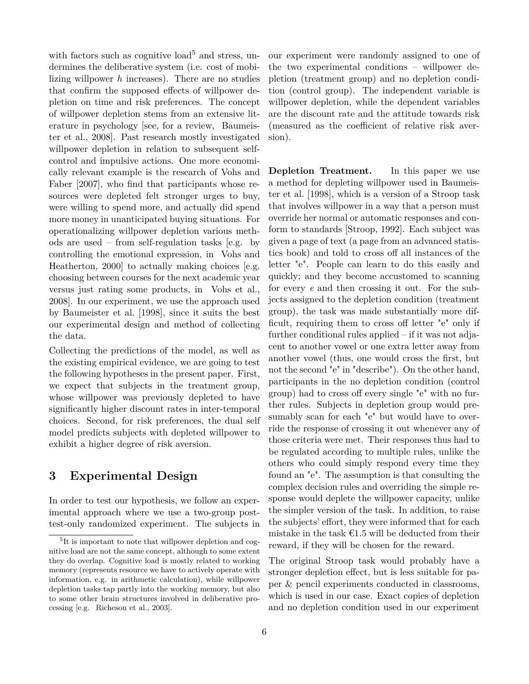with factors such as cognitive load<sup>[5](#page-5-0)</sup> and stress, undermines the deliberative system (i.e. cost of mobilizing willpower *h* increases). There are no studies that confirm the supposed effects of willpower depletion on time and risk preferences. The concept of willpower depletion stems from an extensive literature in psychology [see, for a review, [Baumeis](#page-16-3)[ter et al., 2008\]](#page-16-3). Past research mostly investigated willpower depletion in relation to subsequent selfcontrol and impulsive actions. One more economically relevant example is the research of [Vohs and](#page-18-6) [Faber](#page-18-6) [\[2007\]](#page-18-6), who find that participants whose resources were depleted felt stronger urges to buy, were willing to spend more, and actually did spend more money in unanticipated buying situations. For operationalizing willpower depletion various methods are used – from self-regulation tasks [e.g. by controlling the emotional expression, in [Vohs and](#page-18-7) [Heatherton, 2000\]](#page-18-7) to actually making choices [e.g. choosing between courses for the next academic year versus just rating some products, in [Vohs et al.,](#page-18-8) [2008\]](#page-18-8). In our experiment, we use the approach used by [Baumeister et al.](#page-16-5) [\[1998\]](#page-16-5), since it suits the best our experimental design and method of collecting the data.

Collecting the predictions of the model, as well as the existing empirical evidence, we are going to test the following hypotheses in the present paper. First, we expect that subjects in the treatment group, whose willpower was previously depleted to have significantly higher discount rates in inter-temporal choices. Second, for risk preferences, the dual self model predicts subjects with depleted willpower to exhibit a higher degree of risk aversion.

# **3 Experimental Design**

In order to test our hypothesis, we follow an experimental approach where we use a two-group posttest-only randomized experiment. The subjects in our experiment were randomly assigned to one of the two experimental conditions – willpower depletion (treatment group) and no depletion condition (control group). The independent variable is willpower depletion, while the dependent variables are the discount rate and the attitude towards risk (measured as the coefficient of relative risk aversion).

<span id="page-5-1"></span>**Depletion Treatment.** In this paper we use a method for depleting willpower used in [Baumeis](#page-16-5)[ter et al.](#page-16-5) [\[1998\]](#page-16-5), which is a version of a Stroop task that involves willpower in a way that a person must override her normal or automatic responses and conform to standards [\[Stroop, 1992\]](#page-18-10). Each subject was given a page of text (a page from an advanced statistics book) and told to cross off all instances of the letter "e". People can learn to do this easily and quickly; and they become accustomed to scanning for every *e* and then crossing it out. For the subjects assigned to the depletion condition (treatment group), the task was made substantially more difficult, requiring them to cross off letter "e" only if further conditional rules applied – if it was not adjacent to another vowel or one extra letter away from another vowel (thus, one would cross the first, but not the second "e" in "describe"). On the other hand, participants in the no depletion condition (control group) had to cross off every single "e" with no further rules. Subjects in depletion group would presumably scan for each "e" but would have to override the response of crossing it out whenever any of those criteria were met. Their responses thus had to be regulated according to multiple rules, unlike the others who could simply respond every time they found an "e". The assumption is that consulting the complex decision rules and overriding the simple response would deplete the willpower capacity, unlike the simpler version of the task. In addition, to raise the subjects' effort, they were informed that for each mistake in the task  $\epsilon$ 1.5 will be deducted from their reward, if they will be chosen for the reward.

The original Stroop task would probably have a stronger depletion effect, but is less suitable for paper & pencil experiments conducted in classrooms, which is used in our case. Exact copies of depletion and no depletion condition used in our experiment

<span id="page-5-0"></span><sup>&</sup>lt;sup>5</sup>It is important to note that willpower depletion and cognitive load are not the same concept, although to some extent they do overlap. Cognitive load is mostly related to working memory (represents resource we have to actively operate with information, e.g. in arithmetic calculation), while willpower depletion tasks tap partly into the working memory, but also to some other brain structures involved in deliberative processing [e.g. [Richeson et al., 2003\]](#page-18-9).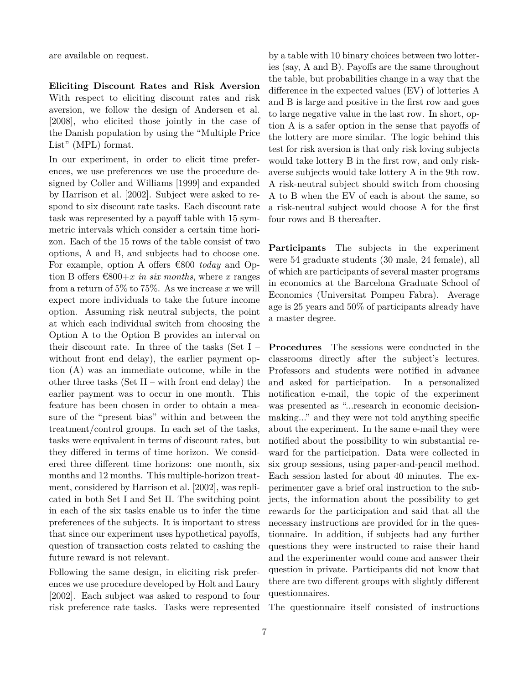are available on request.

<span id="page-6-0"></span>**Eliciting Discount Rates and Risk Aversion** With respect to eliciting discount rates and risk aversion, we follow the design of [Andersen et al.](#page-16-6) [\[2008\]](#page-16-6), who elicited those jointly in the case of the Danish population by using the "Multiple Price List" (MPL) format.

In our experiment, in order to elicit time preferences, we use preferences we use the procedure designed by [Coller and Williams](#page-16-7) [\[1999\]](#page-16-7) and expanded by [Harrison et al.](#page-17-13) [\[2002\]](#page-17-13). Subject were asked to respond to six discount rate tasks. Each discount rate task was represented by a payoff table with 15 symmetric intervals which consider a certain time horizon. Each of the 15 rows of the table consist of two options, A and B, and subjects had to choose one. For example, option A offers €800 *today* and Option B offers  $\epsilon$ 800+*x in six months*, where *x* ranges from a return of  $5\%$  to  $75\%$ . As we increase x we will expect more individuals to take the future income option. Assuming risk neutral subjects, the point at which each individual switch from choosing the Option A to the Option B provides an interval on their discount rate. In three of the tasks (Set I – without front end delay), the earlier payment option (A) was an immediate outcome, while in the other three tasks (Set  $II$  – with front end delay) the earlier payment was to occur in one month. This feature has been chosen in order to obtain a measure of the "present bias" within and between the treatment/control groups. In each set of the tasks, tasks were equivalent in terms of discount rates, but they differed in terms of time horizon. We considered three different time horizons: one month, six months and 12 months. This multiple-horizon treatment, considered by [Harrison et al.](#page-17-13) [\[2002\]](#page-17-13), was replicated in both Set I and Set II. The switching point in each of the six tasks enable us to infer the time preferences of the subjects. It is important to stress that since our experiment uses hypothetical payoffs, question of transaction costs related to cashing the future reward is not relevant.

Following the same design, in eliciting risk preferences we use procedure developed by [Holt and Laury](#page-17-9) [\[2002\]](#page-17-9). Each subject was asked to respond to four risk preference rate tasks. Tasks were represented by a table with 10 binary choices between two lotteries (say, A and B). Payoffs are the same throughout the table, but probabilities change in a way that the difference in the expected values (EV) of lotteries A and B is large and positive in the first row and goes to large negative value in the last row. In short, option A is a safer option in the sense that payoffs of the lottery are more similar. The logic behind this test for risk aversion is that only risk loving subjects would take lottery B in the first row, and only riskaverse subjects would take lottery A in the 9th row. A risk-neutral subject should switch from choosing A to B when the EV of each is about the same, so a risk-neutral subject would choose A for the first four rows and B thereafter.

**Participants** The subjects in the experiment were 54 graduate students (30 male, 24 female), all of which are participants of several master programs in economics at the Barcelona Graduate School of Economics (Universitat Pompeu Fabra). Average age is 25 years and 50% of participants already have a master degree.

<span id="page-6-1"></span>**Procedures** The sessions were conducted in the classrooms directly after the subject's lectures. Professors and students were notified in advance and asked for participation. In a personalized notification e-mail, the topic of the experiment was presented as "...research in economic decisionmaking..." and they were not told anything specific about the experiment. In the same e-mail they were notified about the possibility to win substantial reward for the participation. Data were collected in six group sessions, using paper-and-pencil method. Each session lasted for about 40 minutes. The experimenter gave a brief oral instruction to the subjects, the information about the possibility to get rewards for the participation and said that all the necessary instructions are provided for in the questionnaire. In addition, if subjects had any further questions they were instructed to raise their hand and the experimenter would come and answer their question in private. Participants did not know that there are two different groups with slightly different questionnaires.

The questionnaire itself consisted of instructions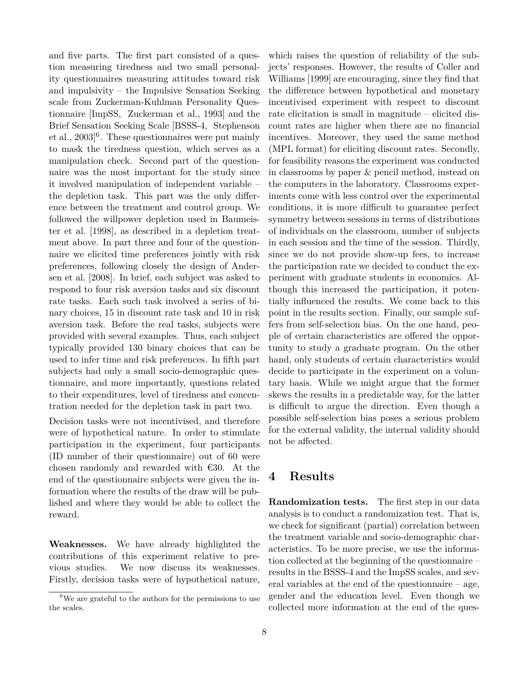and five parts. The first part consisted of a question measuring tiredness and two small personality questionnaires measuring attitudes toward risk and impulsivity – the Impulsive Sensation Seeking scale from Zuckerman-Kuhlman Personality Questionnaire [ImpSS, [Zuckerman et al., 1993\]](#page-19-1) and the Brief Sensation Seeking Scale [BSSS-4, [Stephenson](#page-18-11) et al., 2003<sup>[6](#page-7-0)</sup>. These questionnaires were put mainly to mask the tiredness question, which serves as a manipulation check. Second part of the questionnaire was the most important for the study since it involved manipulation of independent variable – the depletion task. This part was the only difference between the treatment and control group. We followed the willpower depletion used in [Baumeis](#page-16-5)[ter et al.](#page-16-5) [\[1998\]](#page-16-5), as described in a depletion treatment above. In part three and four of the questionnaire we elicited time preferences jointly with risk preferences, following closely the design of [Ander](#page-16-6)[sen et al.](#page-16-6) [\[2008\]](#page-16-6). In brief, each subject was asked to respond to four risk aversion tasks and six discount rate tasks. Each such task involved a series of binary choices, 15 in discount rate task and 10 in risk aversion task. Before the real tasks, subjects were provided with several examples. Thus, each subject typically provided 130 binary choices that can be used to infer time and risk preferences. In fifth part subjects had only a small socio-demographic questionnaire, and more importantly, questions related to their expenditures, level of tiredness and concentration needed for the depletion task in part two.

Decision tasks were not incentivised, and therefore were of hypothetical nature. In order to stimulate participation in the experiment, four participants (ID number of their questionnaire) out of 60 were chosen randomly and rewarded with  $€30$ . At the end of the questionnaire subjects were given the information where the results of the draw will be published and where they would be able to collect the reward.

<span id="page-7-1"></span>**Weaknesses.** We have already highlighted the contributions of this experiment relative to previous studies. We now discuss its weaknesses. Firstly, decision tasks were of hypothetical nature,

which raises the question of reliability of the subjects' responses. However, the results of [Coller and](#page-16-7) [Williams](#page-16-7) [\[1999\]](#page-16-7) are encouraging, since they find that the difference between hypothetical and monetary incentivised experiment with respect to discount rate elicitation is small in magnitude – elicited discount rates are higher when there are no financial incentives. Moreover, they used the same method (MPL format) for eliciting discount rates. Secondly, for feasibility reasons the experiment was conducted in classrooms by paper & pencil method, instead on the computers in the laboratory. Classrooms experiments come with less control over the experimental conditions, it is more difficult to guarantee perfect symmetry between sessions in terms of distributions of individuals on the classroom, number of subjects in each session and the time of the session. Thirdly, since we do not provide show-up fees, to increase the participation rate we decided to conduct the experiment with graduate students in economics. Although this increased the participation, it potentially influenced the results. We come back to this point in the results section. Finally, our sample suffers from self-selection bias. On the one hand, people of certain characteristics are offered the opportunity to study a graduate program. On the other hand, only students of certain characteristics would decide to participate in the experiment on a voluntary basis. While we might argue that the former skews the results in a predictable way, for the latter is difficult to argue the direction. Even though a possible self-selection bias poses a serious problem for the external validity, the internal validity should not be affected.

# **4 Results**

**Randomization tests.** The first step in our data analysis is to conduct a randomization test. That is, we check for significant (partial) correlation between the treatment variable and socio-demographic characteristics. To be more precise, we use the information collected at the beginning of the questionnaire – results in the BSSS-4 and the ImpSS scales, and several variables at the end of the questionnaire – age, gender and the education level. Even though we collected more information at the end of the ques-

<span id="page-7-0"></span> $^6\mathrm{We}$  are grateful to the authors for the permissions to use the scales.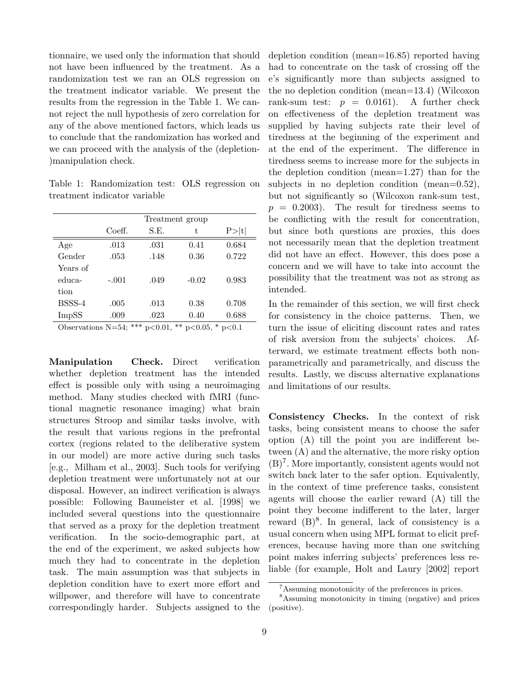tionnaire, we used only the information that should not have been influenced by the treatment. As a randomization test we ran an OLS regression on the treatment indicator variable. We present the results from the regression in the Table [1.](#page-8-0) We cannot reject the null hypothesis of zero correlation for any of the above mentioned factors, which leads us to conclude that the randomization has worked and we can proceed with the analysis of the (depletion- )manipulation check.

<span id="page-8-0"></span>Table 1: Randomization test: OLS regression on treatment indicator variable

|              | Treatment group                      |       |                     |                                |  |  |  |
|--------------|--------------------------------------|-------|---------------------|--------------------------------|--|--|--|
|              | Coeff.                               | S.E.  | t,                  | P >  t                         |  |  |  |
| Age          | .013                                 | .031  | 0.41                | 0.684                          |  |  |  |
| Gender       | .053                                 | .148  | 0.36                | 0.722                          |  |  |  |
| Years of     |                                      |       |                     |                                |  |  |  |
| educa-       | $-.001$                              | .049  | $-0.02$             | 0.983                          |  |  |  |
| tion         |                                      |       |                     |                                |  |  |  |
| BSSS-4       | .005                                 | .013  | 0.38                | 0.708                          |  |  |  |
| <b>ImpSS</b> | .009                                 | .023  | 0.40                | 0.688                          |  |  |  |
| $\sim$       | ↵↵↵<br><b>RT</b><br>$\sim$ $\lambda$ | .0.01 | પ≁<br>◡<br>$\Omega$ | $\cdot$ $\cap$ $\cdot$ $\cdot$ |  |  |  |

Observations N=54; \*\*\* p<0.01, \*\* p<0.05, \* p<0.1

<span id="page-8-3"></span>**Manipulation Check.** Direct verification whether depletion treatment has the intended effect is possible only with using a neuroimaging method. Many studies checked with fMRI (functional magnetic resonance imaging) what brain structures Stroop and similar tasks involve, with the result that various regions in the prefrontal cortex (regions related to the deliberative system in our model) are more active during such tasks [e.g., [Milham et al., 2003\]](#page-18-12). Such tools for verifying depletion treatment were unfortunately not at our disposal. However, an indirect verification is always possible: Following [Baumeister et al.](#page-16-5) [\[1998\]](#page-16-5) we included several questions into the questionnaire that served as a proxy for the depletion treatment verification. In the socio-demographic part, at the end of the experiment, we asked subjects how much they had to concentrate in the depletion task. The main assumption was that subjects in depletion condition have to exert more effort and willpower, and therefore will have to concentrate correspondingly harder. Subjects assigned to the depletion condition (mean=16*.*85) reported having had to concentrate on the task of crossing off the e's significantly more than subjects assigned to the no depletion condition (mean=13*.*4) (Wilcoxon rank-sum test:  $p = 0.0161$ . A further check on effectiveness of the depletion treatment was supplied by having subjects rate their level of tiredness at the beginning of the experiment and at the end of the experiment. The difference in tiredness seems to increase more for the subjects in the depletion condition (mean=1*.*27) than for the subjects in no depletion condition (mean=0*.*52), but not significantly so (Wilcoxon rank-sum test,  $p = 0.2003$ . The result for tiredness seems to be conflicting with the result for concentration, but since both questions are proxies, this does not necessarily mean that the depletion treatment did not have an effect. However, this does pose a concern and we will have to take into account the possibility that the treatment was not as strong as intended.

In the remainder of this section, we will first check for consistency in the choice patterns. Then, we turn the issue of eliciting discount rates and rates of risk aversion from the subjects' choices. Afterward, we estimate treatment effects both nonparametrically and parametrically, and discuss the results. Lastly, we discuss alternative explanations and limitations of our results.

<span id="page-8-4"></span>**Consistency Checks.** In the context of risk tasks, being consistent means to choose the safer option (A) till the point you are indifferent between (A) and the alternative, the more risky option  $(B)^7$  $(B)^7$ . More importantly, consistent agents would not switch back later to the safer option. Equivalently, in the context of time preference tasks, consistent agents will choose the earlier reward (A) till the point they become indifferent to the later, larger reward  $(B)^8$  $(B)^8$ . In general, lack of consistency is a usual concern when using MPL format to elicit preferences, because having more than one switching point makes inferring subjects' preferences less reliable (for example, [Holt and Laury](#page-17-9) [\[2002\]](#page-17-9) report

<span id="page-8-2"></span><span id="page-8-1"></span><sup>7</sup>Assuming monotonicity of the preferences in prices.

<sup>8</sup>Assuming monotonicity in timing (negative) and prices (positive).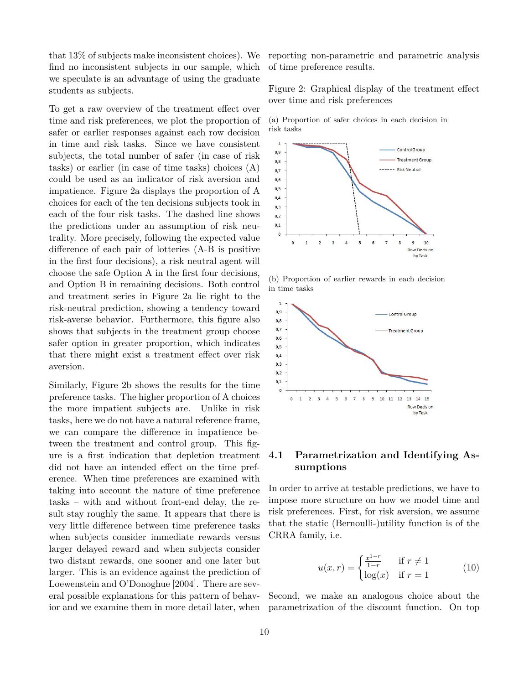that 13% of subjects make inconsistent choices). We find no inconsistent subjects in our sample, which we speculate is an advantage of using the graduate students as subjects.

To get a raw overview of the treatment effect over time and risk preferences, we plot the proportion of safer or earlier responses against each row decision in time and risk tasks. Since we have consistent subjects, the total number of safer (in case of risk tasks) or earlier (in case of time tasks) choices (A) could be used as an indicator of risk aversion and impatience. Figure [2a](#page-9-0) displays the proportion of A choices for each of the ten decisions subjects took in each of the four risk tasks. The dashed line shows the predictions under an assumption of risk neutrality. More precisely, following the expected value difference of each pair of lotteries (A-B is positive in the first four decisions), a risk neutral agent will choose the safe Option A in the first four decisions, and Option B in remaining decisions. Both control and treatment series in Figure [2a](#page-9-0) lie right to the risk-neutral prediction, showing a tendency toward risk-averse behavior. Furthermore, this figure also shows that subjects in the treatment group choose safer option in greater proportion, which indicates that there might exist a treatment effect over risk aversion.

Similarly, Figure [2b](#page-9-1) shows the results for the time preference tasks. The higher proportion of A choices the more impatient subjects are. Unlike in risk tasks, here we do not have a natural reference frame, we can compare the difference in impatience between the treatment and control group. This figure is a first indication that depletion treatment did not have an intended effect on the time preference. When time preferences are examined with taking into account the nature of time preference tasks – with and without front-end delay, the result stay roughly the same. It appears that there is very little difference between time preference tasks when subjects consider immediate rewards versus larger delayed reward and when subjects consider two distant rewards, one sooner and one later but larger. This is an evidence against the prediction of [Loewenstein and O'Donoghue](#page-17-5) [\[2004\]](#page-17-5). There are several possible explanations for this pattern of behavior and we examine them in more detail later, when reporting non-parametric and parametric analysis of time preference results.

Figure 2: Graphical display of the treatment effect over time and risk preferences

<span id="page-9-0"></span>



<span id="page-9-1"></span>(b) Proportion of earlier rewards in each decision in time tasks



### **4.1 Parametrization and Identifying Assumptions**

In order to arrive at testable predictions, we have to impose more structure on how we model time and risk preferences. First, for risk aversion, we assume that the static (Bernoulli-)utility function is of the CRRA family, i.e.

$$
u(x,r) = \begin{cases} \frac{x^{1-r}}{1-r} & \text{if } r \neq 1\\ \log(x) & \text{if } r = 1 \end{cases} \tag{10}
$$

Second, we make an analogous choice about the parametrization of the discount function. On top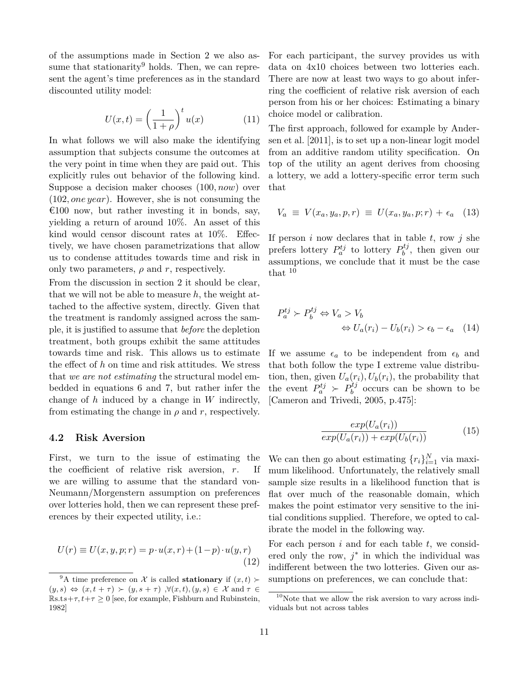of the assumptions made in Section [2](#page-1-1) we also as-sume that stationarity<sup>[9](#page-10-0)</sup> holds. Then, we can represent the agent's time preferences as in the standard discounted utility model:

$$
U(x,t) = \left(\frac{1}{1+\rho}\right)^t u(x) \tag{11}
$$

In what follows we will also make the identifying assumption that subjects consume the outcomes at the very point in time when they are paid out. This explicitly rules out behavior of the following kind. Suppose a decision maker chooses (100*, now*) over (102*, one year*). However, she is not consuming the  $\epsilon$ 100 now, but rather investing it in bonds, say, yielding a return of around 10%. An asset of this kind would censor discount rates at 10%. Effectively, we have chosen parametrizations that allow us to condense attitudes towards time and risk in only two parameters,  $\rho$  and  $r$ , respectively.

From the discussion in section [2](#page-1-1) it should be clear, that we will not be able to measure *h*, the weight attached to the affective system, directly. Given that the treatment is randomly assigned across the sample, it is justified to assume that *before* the depletion treatment, both groups exhibit the same attitudes towards time and risk. This allows us to estimate the effect of *h* on time and risk attitudes. We stress that *we are not estimating* the structural model embedded in equations [6](#page-2-1) and [7,](#page-3-2) but rather infer the change of *h* induced by a change in *W* indirectly, from estimating the change in  $\rho$  and  $r$ , respectively.

#### **4.2 Risk Aversion**

First, we turn to the issue of estimating the the coefficient of relative risk aversion, *r*. If we are willing to assume that the standard von-Neumann/Morgenstern assumption on preferences over lotteries hold, then we can represent these preferences by their expected utility, i.e.:

$$
U(r) \equiv U(x, y, p; r) = p \cdot u(x, r) + (1 - p) \cdot u(y, r)
$$
\n(12)

For each participant, the survey provides us with data on 4x10 choices between two lotteries each. There are now at least two ways to go about inferring the coefficient of relative risk aversion of each person from his or her choices: Estimating a binary choice model or calibration.

The first approach, followed for example by [Ander](#page-16-8)[sen et al.](#page-16-8) [\[2011\]](#page-16-8), is to set up a non-linear logit model from an additive random utility specification. On top of the utility an agent derives from choosing a lottery, we add a lottery-specific error term such that

$$
V_a \equiv V(x_a, y_a, p, r) \equiv U(x_a, y_a, p; r) + \epsilon_a \quad (13)
$$

If person  $i$  now declares that in table  $t$ , row  $j$  she prefers lottery  $P_a^{tj}$  to lottery  $P_b^{tj}$  $b^{ij}$ , then given our assumptions, we conclude that it must be the case that [10](#page-10-1)

$$
P_a^{tj} \succ P_b^{tj} \Leftrightarrow V_a > V_b
$$
  

$$
\Leftrightarrow U_a(r_i) - U_b(r_i) > \epsilon_b - \epsilon_a \quad (14)
$$

If we assume  $\epsilon_a$  to be independent from  $\epsilon_b$  and that both follow the type I extreme value distribution, then, given  $U_a(r_i)$ ,  $U_b(r_i)$ , the probability that the event  $P_a^{tj} \succ P_b^{tj}$  $b^{ij}$  occurs can be shown to be [\[Cameron and Trivedi, 2005,](#page-16-9) p.475]:

<span id="page-10-3"></span>
$$
\frac{exp(U_a(r_i))}{exp(U_a(r_i)) + exp(U_b(r_i))}
$$
\n(15)

We can then go about estimating  $\{r_i\}_{i=1}^N$  via maximum likelihood. Unfortunately, the relatively small sample size results in a likelihood function that is flat over much of the reasonable domain, which makes the point estimator very sensitive to the initial conditions supplied. Therefore, we opted to calibrate the model in the following way.

<span id="page-10-2"></span>For each person *i* and for each table *t*, we considered only the row,  $j^*$  in which the individual was indifferent between the two lotteries. Given our assumptions on preferences, we can conclude that:

<span id="page-10-0"></span><sup>&</sup>lt;sup>9</sup>A time preference on X is called **stationary** if  $(x, t)$  $(y, s) \Leftrightarrow (x, t + \tau) \succ (y, s + \tau)$ ,  $\forall (x, t), (y, s) \in \mathcal{X}$  and  $\tau \in$  $\mathbb{R} s.ts+\tau, t+\tau \geq 0$  [see, for example, [Fishburn and Rubinstein,](#page-17-8) [1982\]](#page-17-8)

<span id="page-10-1"></span> $^{10}\rm{Note}$  that we allow the risk aversion to vary across individuals but not across tables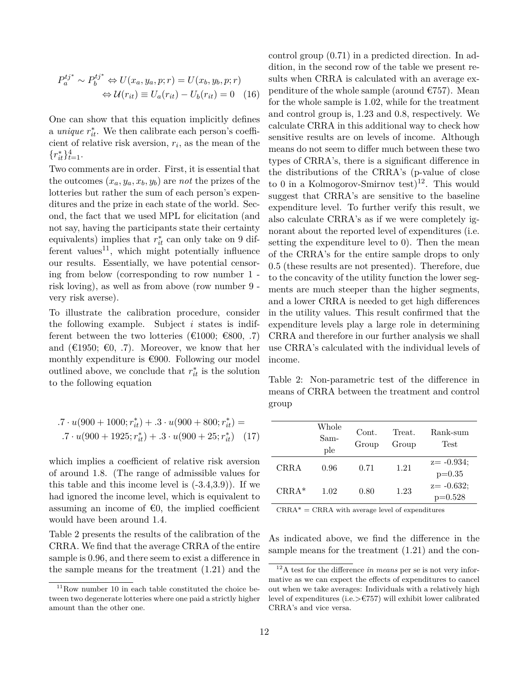$$
P_a^{tj^*} \sim P_b^{tj^*} \Leftrightarrow U(x_a, y_a, p; r) = U(x_b, y_b, p; r)
$$

$$
\Leftrightarrow \mathcal{U}(r_{it}) \equiv U_a(r_{it}) - U_b(r_{it}) = 0 \quad (16)
$$

One can show that this equation implicitly defines a *unique*  $r_{it}^*$ . We then calibrate each person's coefficient of relative risk aversion, *r<sup>i</sup>* , as the mean of the  $\{r_{it}^*\}_{t=1}^4$ .

Two comments are in order. First, it is essential that the outcomes  $(x_a, y_a, x_b, y_b)$  are *not* the prizes of the lotteries but rather the sum of each person's expenditures and the prize in each state of the world. Second, the fact that we used MPL for elicitation (and not say, having the participants state their certainty equivalents) implies that  $r_{it}^*$  can only take on 9 dif-ferent values<sup>[11](#page-11-0)</sup>, which might potentially influence our results. Essentially, we have potential censoring from below (corresponding to row number 1 risk loving), as well as from above (row number 9 very risk averse).

To illustrate the calibration procedure, consider the following example. Subject *i* states is indifferent between the two lotteries ( $\epsilon$ 1000;  $\epsilon$ 800, .7) and ( $\in$ 1950;  $\in$ 0, .7). Moreover, we know that her monthly expenditure is  $€900$ . Following our model outlined above, we conclude that  $r_{it}^*$  is the solution to the following equation

$$
.7 \cdot u(900 + 1000; r_{it}^*) + .3 \cdot u(900 + 800; r_{it}^*) =
$$
  

$$
.7 \cdot u(900 + 1925; r_{it}^*) + .3 \cdot u(900 + 25; r_{it}^*) \quad (17)
$$

which implies a coefficient of relative risk aversion of around 1*.*8. (The range of admissible values for this table and this income level is  $(-3.4,3.9)$ ). If we had ignored the income level, which is equivalent to assuming an income of  $\epsilon$ 0, the implied coefficient would have been around 1*.*4.

Table [2](#page-11-1) presents the results of the calibration of the CRRA. We find that the average CRRA of the entire sample is 0*.*96, and there seem to exist a difference in the sample means for the treatment (1*.*21) and the control group (0*.*71) in a predicted direction. In addition, in the second row of the table we present results when CRRA is calculated with an average expenditure of the whole sample (around  $\epsilon$ 757). Mean for the whole sample is 1*.*02, while for the treatment and control group is, 1*.*23 and 0*.*8, respectively. We calculate CRRA in this additional way to check how sensitive results are on levels of income. Although means do not seem to differ much between these two types of CRRA's, there is a significant difference in the distributions of the CRRA's (p-value of close to 0 in a Kolmogorov-Smirnov test)<sup>[12](#page-11-2)</sup>. This would suggest that CRRA's are sensitive to the baseline expenditure level. To further verify this result, we also calculate CRRA's as if we were completely ignorant about the reported level of expenditures (i.e. setting the expenditure level to 0). Then the mean of the CRRA's for the entire sample drops to only 0*.*5 (these results are not presented). Therefore, due to the concavity of the utility function the lower segments are much steeper than the higher segments, and a lower CRRA is needed to get high differences in the utility values. This result confirmed that the expenditure levels play a large role in determining CRRA and therefore in our further analysis we shall use CRRA's calculated with the individual levels of income.

<span id="page-11-1"></span>Table 2: Non-parametric test of the difference in means of CRRA between the treatment and control group

|             | Whole<br>Sam-<br>ple | Cont.<br>Group | Treat.<br>Group | Rank-sum<br>Test           |
|-------------|----------------------|----------------|-----------------|----------------------------|
| <b>CRRA</b> | 0.96                 | 0.71           | 1.21            | $z = -0.934;$<br>$p=0.35$  |
| $CIRA*$     | 1.02                 | 0.80           | 1.23            | $z = -0.632;$<br>$p=0.528$ |

 $CRRA^* = CRRA$  with average level of expenditures

As indicated above, we find the difference in the sample means for the treatment (1*.*21) and the con-

<span id="page-11-0"></span> $11$ Row number 10 in each table constituted the choice between two degenerate lotteries where one paid a strictly higher amount than the other one.

<span id="page-11-2"></span><sup>12</sup>A test for the difference *in means* per se is not very informative as we can expect the effects of expenditures to cancel out when we take averages: Individuals with a relatively high level of expenditures (i.e.*>*€757) will exhibit lower calibrated CRRA's and vice versa.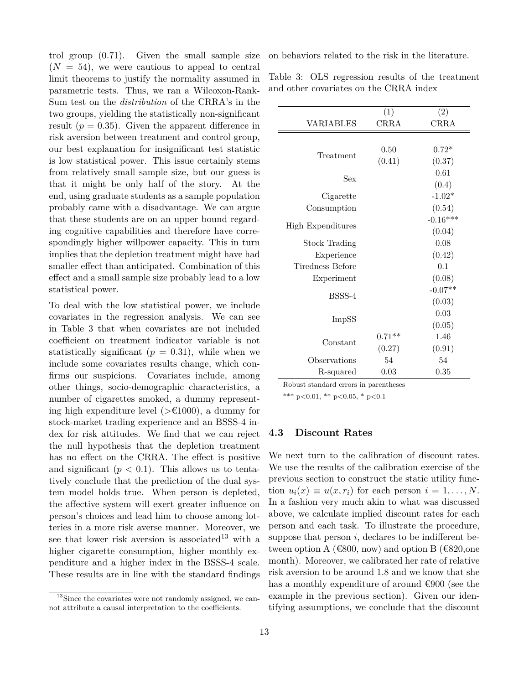trol group (0*.*71). Given the small sample size  $(N = 54)$ , we were cautious to appeal to central limit theorems to justify the normality assumed in parametric tests. Thus, we ran a Wilcoxon-Rank-Sum test on the *distribution* of the CRRA's in the two groups, yielding the statistically non-significant result  $(p = 0.35)$ . Given the apparent difference in risk aversion between treatment and control group, our best explanation for insignificant test statistic is low statistical power. This issue certainly stems from relatively small sample size, but our guess is that it might be only half of the story. At the end, using graduate students as a sample population probably came with a disadvantage. We can argue that these students are on an upper bound regarding cognitive capabilities and therefore have correspondingly higher willpower capacity. This in turn implies that the depletion treatment might have had smaller effect than anticipated. Combination of this effect and a small sample size probably lead to a low statistical power.

To deal with the low statistical power, we include covariates in the regression analysis. We can see in Table [3](#page-12-0) that when covariates are not included coefficient on treatment indicator variable is not statistically significant  $(p = 0.31)$ , while when we include some covariates results change, which confirms our suspicions. Covariates include, among other things, socio-demographic characteristics, a number of cigarettes smoked, a dummy representing high expenditure level (*>*€1000), a dummy for stock-market trading experience and an BSSS-4 index for risk attitudes. We find that we can reject the null hypothesis that the depletion treatment has no effect on the CRRA. The effect is positive and significant  $(p < 0.1)$ . This allows us to tentatively conclude that the prediction of the dual system model holds true. When person is depleted, the affective system will exert greater influence on person's choices and lead him to choose among lotteries in a more risk averse manner. Moreover, we see that lower risk aversion is associated<sup>[13](#page-12-1)</sup> with a higher cigarette consumption, higher monthly expenditure and a higher index in the BSSS-4 scale. These results are in line with the standard findings

on behaviors related to the risk in the literature.

<span id="page-12-0"></span>Table 3: OLS regression results of the treatment and other covariates on the CRRA index

|                      | (1)         | (2)         |
|----------------------|-------------|-------------|
| <b>VARIABLES</b>     | <b>CRRA</b> | <b>CRRA</b> |
|                      |             |             |
|                      | 0.50        | $0.72*$     |
| Treatment            | (0.41)      | (0.37)      |
|                      |             | 0.61        |
| Sex                  |             | (0.4)       |
| Cigarette            |             | $-1.02*$    |
| Consumption          |             | (0.54)      |
|                      |             | $-0.16***$  |
| High Expenditures    |             | (0.04)      |
| <b>Stock Trading</b> |             | 0.08        |
| Experience           |             | (0.42)      |
| Tiredness Before     |             | 0.1         |
| Experiment           |             | (0.08)      |
| BSSS-4               |             | $-0.07**$   |
|                      |             | (0.03)      |
| ImpSS                |             | 0.03        |
|                      |             | (0.05)      |
| Constant             | $0.71**$    | 1.46        |
|                      | (0.27)      | (0.91)      |
| Observations         | 54          | 54          |
| R-squared            | 0.03        | 0.35        |
|                      |             |             |

Robust standard errors in parentheses

\*\*\* p<0.01, \*\* p<0.05, \* p<0.1

#### **4.3 Discount Rates**

We next turn to the calibration of discount rates. We use the results of the calibration exercise of the previous section to construct the static utility function  $u_i(x) \equiv u(x, r_i)$  for each person  $i = 1, \ldots, N$ . In a fashion very much akin to what was discussed above, we calculate implied discount rates for each person and each task. To illustrate the procedure, suppose that person  $i$ , declares to be indifferent between option A ( $\epsilon$ 800, now) and option B ( $\epsilon$ 820, one month). Moreover, we calibrated her rate of relative risk aversion to be around 1*.*8 and we know that she has a monthly expenditure of around  $\epsilon$ 900 (see the example in the previous section). Given our identifying assumptions, we conclude that the discount

<span id="page-12-1"></span><sup>&</sup>lt;sup>13</sup>Since the covariates were not randomly assigned, we cannot attribute a causal interpretation to the coefficients.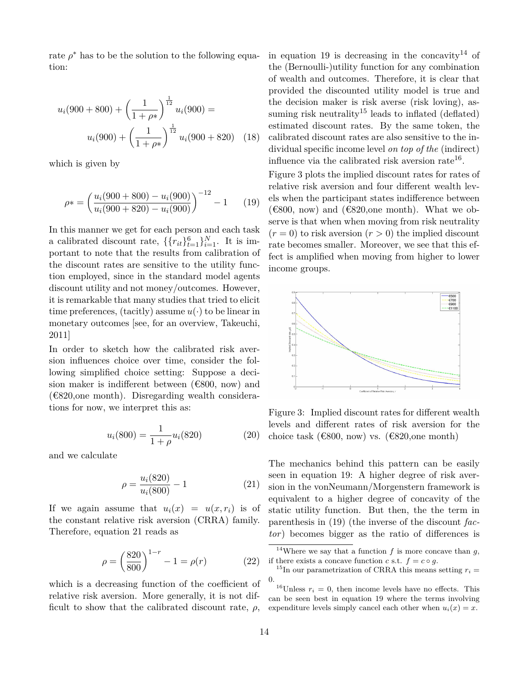rate  $\rho^*$  has to be the solution to the following equation:

$$
u_i(900 + 800) + \left(\frac{1}{1 + \rho^*}\right)^{\frac{1}{12}} u_i(900) =
$$
  

$$
u_i(900) + \left(\frac{1}{1 + \rho^*}\right)^{\frac{1}{12}} u_i(900 + 820) \quad (18)
$$

which is given by

<span id="page-13-1"></span>
$$
\rho* = \left(\frac{u_i(900 + 800) - u_i(900)}{u_i(900 + 820) - u_i(900)}\right)^{-12} - 1 \tag{19}
$$

In this manner we get for each person and each task a calibrated discount rate,  $\{\{r_{it}\}_{t=1}^6\}_{i=1}^N$ . It is important to note that the results from calibration of the discount rates are sensitive to the utility function employed, since in the standard model agents discount utility and not money/outcomes. However, it is remarkable that many studies that tried to elicit time preferences, (tacitly) assume  $u(\cdot)$  to be linear in monetary outcomes [see, for an overview, [Takeuchi,](#page-18-13) [2011\]](#page-18-13)

In order to sketch how the calibrated risk aversion influences choice over time, consider the following simplified choice setting: Suppose a decision maker is indifferent between  $(\text{\textsterling}800, \text{ now})$  and  $(\text{\textsterling}820, \text{one month})$ . Disregarding wealth considerations for now, we interpret this as:

$$
u_i(800) = \frac{1}{1+\rho} u_i(820)
$$
 (20)

and we calculate

<span id="page-13-0"></span>
$$
\rho = \frac{u_i(820)}{u_i(800)} - 1\tag{21}
$$

If we again assume that  $u_i(x) = u(x, r_i)$  is of the constant relative risk aversion (CRRA) family. Therefore, equation [21](#page-13-0) reads as

$$
\rho = \left(\frac{820}{800}\right)^{1-r} - 1 = \rho(r) \tag{22}
$$

which is a decreasing function of the coefficient of relative risk aversion. More generally, it is not difficult to show that the calibrated discount rate,  $\rho$ ,

in equation [19](#page-13-1) is decreasing in the concavity<sup>[14](#page-13-2)</sup> of the (Bernoulli-)utility function for any combination of wealth and outcomes. Therefore, it is clear that provided the discounted utility model is true and the decision maker is risk averse (risk loving), as-suming risk neutrality<sup>[15](#page-13-3)</sup> leads to inflated (deflated) estimated discount rates. By the same token, the calibrated discount rates are also sensitive to the individual specific income level *on top of the* (indirect) influence via the calibrated risk aversion rate<sup>[16](#page-13-4)</sup>.

Figure [3](#page-13-5) plots the implied discount rates for rates of relative risk aversion and four different wealth levels when the participant states indifference between ( $\epsilon$ 800, now) and ( $\epsilon$ 820, one month). What we observe is that when when moving from risk neutrality  $(r = 0)$  to risk aversion  $(r > 0)$  the implied discount rate becomes smaller. Moreover, we see that this effect is amplified when moving from higher to lower income groups.

<span id="page-13-5"></span>

Figure 3: Implied discount rates for different wealth levels and different rates of risk aversion for the choice task ( $\epsilon$ 800, now) vs. ( $\epsilon$ 820, one month)

The mechanics behind this pattern can be easily seen in equation [19:](#page-13-1) A higher degree of risk aversion in the vonNeumann/Morgenstern framework is equivalent to a higher degree of concavity of the static utility function. But then, the the term in parenthesis in [\(19\)](#page-13-1) (the inverse of the discount *factor*) becomes bigger as the ratio of differences is

<span id="page-13-2"></span><sup>&</sup>lt;sup>14</sup>Where we say that a function  $f$  is more concave than  $g$ , if there exists a concave function *c* s.t.  $f = c \circ g$ .

<span id="page-13-3"></span><sup>&</sup>lt;sup>15</sup>In our parametrization of CRRA this means setting  $r_i =$ 0.

<span id="page-13-4"></span><sup>&</sup>lt;sup>16</sup>Unless  $r_i = 0$ , then income levels have no effects. This can be seen best in equation [19](#page-13-1) where the terms involving expenditure levels simply cancel each other when  $u_i(x) = x$ .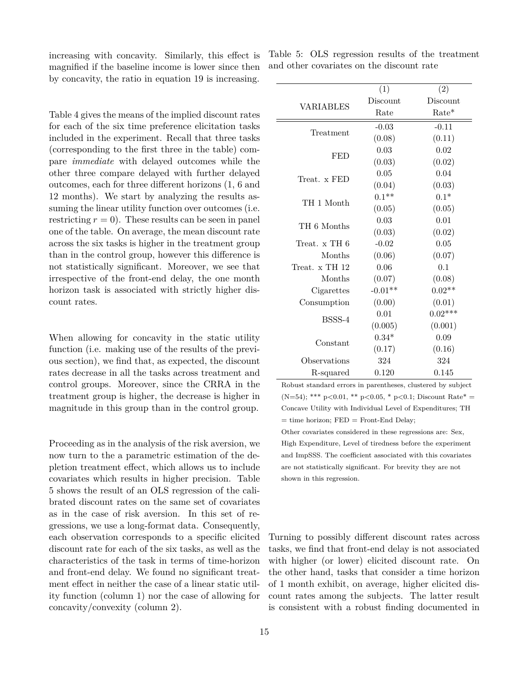increasing with concavity. Similarly, this effect is magnified if the baseline income is lower since then by concavity, the ratio in equation [19](#page-13-1) is increasing.

Table [4](#page-15-0) gives the means of the implied discount rates for each of the six time preference elicitation tasks included in the experiment. Recall that three tasks (corresponding to the first three in the table) compare *immediate* with delayed outcomes while the other three compare delayed with further delayed outcomes, each for three different horizons (1, 6 and 12 months). We start by analyzing the results assuming the linear utility function over outcomes (i.e. restricting  $r = 0$ ). These results can be seen in panel one of the table. On average, the mean discount rate across the six tasks is higher in the treatment group than in the control group, however this difference is not statistically significant. Moreover, we see that irrespective of the front-end delay, the one month horizon task is associated with strictly higher discount rates.

When allowing for concavity in the static utility function (i.e. making use of the results of the previous section), we find that, as expected, the discount rates decrease in all the tasks across treatment and control groups. Moreover, since the CRRA in the treatment group is higher, the decrease is higher in magnitude in this group than in the control group.

Proceeding as in the analysis of the risk aversion, we now turn to the a parametric estimation of the depletion treatment effect, which allows us to include covariates which results in higher precision. Table [5](#page-14-0) shows the result of an OLS regression of the calibrated discount rates on the same set of covariates as in the case of risk aversion. In this set of regressions, we use a long-format data. Consequently, each observation corresponds to a specific elicited discount rate for each of the six tasks, as well as the characteristics of the task in terms of time-horizon and front-end delay. We found no significant treatment effect in neither the case of a linear static utility function (column 1) nor the case of allowing for concavity/convexity (column 2).

<span id="page-14-0"></span>

|                                           |  |  | Table 5: OLS regression results of the treatment |
|-------------------------------------------|--|--|--------------------------------------------------|
| and other covariates on the discount rate |  |  |                                                  |

|                | (1)       | (2)       |
|----------------|-----------|-----------|
| VARIABLES      | Discount  | Discount  |
|                | Rate      | Rate*     |
| Treatment      | $-0.03$   | $-0.11$   |
|                | (0.08)    | (0.11)    |
| <b>FED</b>     | 0.03      | 0.02      |
|                | (0.03)    | (0.02)    |
| Treat. x FED   | 0.05      | 0.04      |
|                | (0.04)    | (0.03)    |
| TH 1 Month     | $0.1**$   | $0.1*$    |
|                | (0.05)    | (0.05)    |
| TH 6 Months    | 0.03      | 0.01      |
|                | (0.03)    | (0.02)    |
| Treat. x TH 6  | $-0.02$   | 0.05      |
| Months         | (0.06)    | (0.07)    |
| Treat. x TH 12 | 0.06      | 0.1       |
| Months         | (0.07)    | (0.08)    |
| Cigarettes     | $-0.01**$ | $0.02**$  |
| Consumption    | (0.00)    | (0.01)    |
| BSSS-4         | 0.01      | $0.02***$ |
|                | (0.005)   | (0.001)   |
| Constant       | $0.34*$   | 0.09      |
|                | (0.17)    | (0.16)    |
| Observations   | 324       | 324       |
| R-squared      | 0.120     | 0.145     |

Robust standard errors in parentheses, clustered by subject  $(N=54)$ ; \*\*\* p<0.01, \*\* p<0.05, \* p<0.1; Discount Rate\* = Concave Utility with Individual Level of Expenditures; TH  $=$  time horizon; FED  $=$  Front-End Delay;

Other covariates considered in these regressions are: Sex, High Expenditure, Level of tiredness before the experiment and ImpSSS. The coefficient associated with this covariates are not statistically significant. For brevity they are not shown in this regression.

Turning to possibly different discount rates across tasks, we find that front-end delay is not associated with higher (or lower) elicited discount rate. On the other hand, tasks that consider a time horizon of 1 month exhibit, on average, higher elicited discount rates among the subjects. The latter result is consistent with a robust finding documented in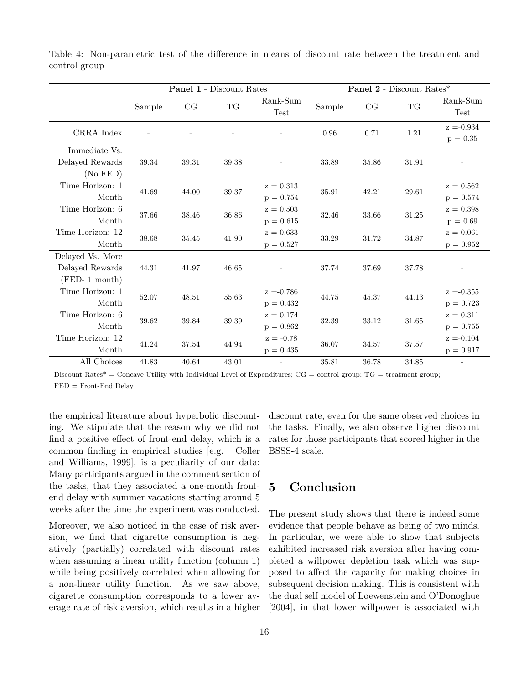|                  | <b>Panel 1 - Discount Rates</b> |       |       | <b>Panel 2</b> - Discount Rates* |        |       |          |                  |
|------------------|---------------------------------|-------|-------|----------------------------------|--------|-------|----------|------------------|
|                  | Sample                          | CG    | TG    | Rank-Sum<br><b>Test</b>          | Sample | CG    | TG       | Rank-Sum<br>Test |
| CRRA Index       |                                 |       |       |                                  | 0.96   | 0.71  | $1.21\,$ | $z = -0.934$     |
|                  |                                 |       |       |                                  |        |       |          | $p = 0.35$       |
| Immediate Vs.    |                                 |       |       |                                  |        |       |          |                  |
| Delayed Rewards  | 39.34                           | 39.31 | 39.38 |                                  | 33.89  | 35.86 | 31.91    |                  |
| (No FED)         |                                 |       |       |                                  |        |       |          |                  |
| Time Horizon: 1  |                                 |       |       | $z = 0.313$                      | 35.91  | 42.21 | 29.61    | $z = 0.562$      |
| Month            | 41.69                           | 44.00 | 39.37 | $p = 0.754$                      |        |       |          | $p = 0.574$      |
| Time Horizon: 6  |                                 |       |       | $z = 0.503$                      |        |       |          | $z = 0.398$      |
| Month            | 37.66                           | 38.46 | 36.86 | $p = 0.615$                      | 32.46  | 33.66 | 31.25    | $p = 0.69$       |
| Time Horizon: 12 |                                 |       |       | $z = -0.633$                     |        |       |          | $z = -0.061$     |
| Month            | 38.68                           | 35.45 | 41.90 | $p = 0.527$                      | 33.29  | 31.72 | 34.87    | $p = 0.952$      |
| Delayed Vs. More |                                 |       |       |                                  |        |       |          |                  |
| Delayed Rewards  | 44.31                           | 41.97 | 46.65 |                                  | 37.74  | 37.69 | 37.78    |                  |
| $(FED-1 month)$  |                                 |       |       |                                  |        |       |          |                  |
| Time Horizon: 1  |                                 |       |       | $z = -0.786$                     | 44.75  |       | 44.13    | $z = -0.355$     |
| Month            | 52.07                           | 48.51 | 55.63 | $p = 0.432$                      |        | 45.37 |          | $p = 0.723$      |
| Time Horizon: 6  |                                 |       |       | $z = 0.174$                      |        |       |          | $z = 0.311$      |
| Month            | 39.62                           | 39.84 | 39.39 | $p = 0.862$                      | 32.39  | 33.12 | 31.65    | $p = 0.755$      |
| Time Horizon: 12 |                                 |       |       | $z = -0.78$                      |        |       |          | $z = -0.104$     |
| Month            | 41.24                           | 37.54 | 44.94 | $p = 0.435$                      | 36.07  | 34.57 | 37.57    | $p = 0.917$      |
| All Choices      | 41.83                           | 40.64 | 43.01 | ÷,                               | 35.81  | 36.78 | 34.85    |                  |

<span id="page-15-0"></span>Table 4: Non-parametric test of the difference in means of discount rate between the treatment and control group

Discount Rates\* = Concave Utility with Individual Level of Expenditures;  $CG = control group$ ;  $TG = treatment group$ ; FED = Front-End Delay

the empirical literature about hyperbolic discounting. We stipulate that the reason why we did not find a positive effect of front-end delay, which is a common finding in empirical studies [e.g. [Coller](#page-16-7) [and Williams, 1999\]](#page-16-7), is a peculiarity of our data: Many participants argued in the comment section of the tasks, that they associated a one-month frontend delay with summer vacations starting around 5 weeks after the time the experiment was conducted.

Moreover, we also noticed in the case of risk aversion, we find that cigarette consumption is negatively (partially) correlated with discount rates when assuming a linear utility function (column 1) while being positively correlated when allowing for a non-linear utility function. As we saw above, cigarette consumption corresponds to a lower average rate of risk aversion, which results in a higher discount rate, even for the same observed choices in the tasks. Finally, we also observe higher discount rates for those participants that scored higher in the BSSS-4 scale.

### <span id="page-15-1"></span>**5 Conclusion**

The present study shows that there is indeed some evidence that people behave as being of two minds. In particular, we were able to show that subjects exhibited increased risk aversion after having completed a willpower depletion task which was supposed to affect the capacity for making choices in subsequent decision making. This is consistent with the dual self model of [Loewenstein and O'Donoghue](#page-17-5) [\[2004\]](#page-17-5), in that lower willpower is associated with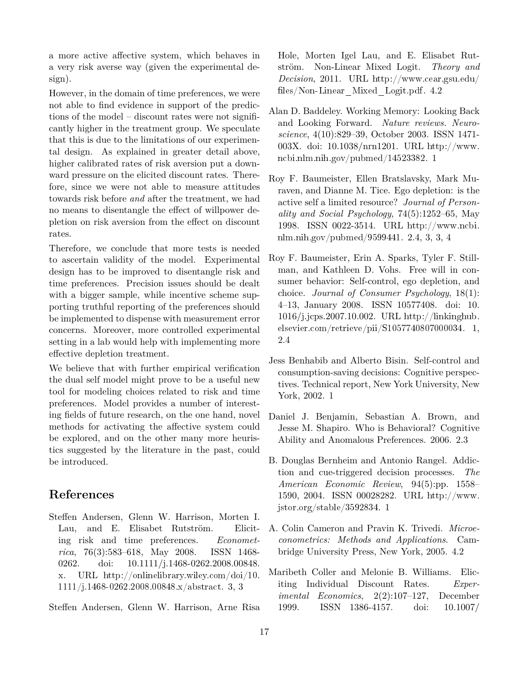a more active affective system, which behaves in a very risk averse way (given the experimental design).

However, in the domain of time preferences, we were not able to find evidence in support of the predictions of the model – discount rates were not significantly higher in the treatment group. We speculate that this is due to the limitations of our experimental design. As explained in greater detail above, higher calibrated rates of risk aversion put a downward pressure on the elicited discount rates. Therefore, since we were not able to measure attitudes towards risk before *and* after the treatment, we had no means to disentangle the effect of willpower depletion on risk aversion from the effect on discount rates.

Therefore, we conclude that more tests is needed to ascertain validity of the model. Experimental design has to be improved to disentangle risk and time preferences. Precision issues should be dealt with a bigger sample, while incentive scheme supporting truthful reporting of the preferences should be implemented to dispense with measurement error concerns. Moreover, more controlled experimental setting in a lab would help with implementing more effective depletion treatment.

We believe that with further empirical verification the dual self model might prove to be a useful new tool for modeling choices related to risk and time preferences. Model provides a number of interesting fields of future research, on the one hand, novel methods for activating the affective system could be explored, and on the other many more heuristics suggested by the literature in the past, could be introduced.

### **References**

<span id="page-16-6"></span>Steffen Andersen, Glenn W. Harrison, Morten I. Lau, and E. Elisabet Rutström. Eliciting risk and time preferences. *Econometrica*, 76(3):583–618, May 2008. ISSN 1468- 0262. doi: 10.1111/j.1468-0262.2008.00848. x. URL [http://onlinelibrary.wiley.com/doi/10.](http://onlinelibrary.wiley.com/doi/10.1111/j.1468-0262.2008.00848.x/abstract) [1111/j.1468-0262.2008.00848.x/abstract](http://onlinelibrary.wiley.com/doi/10.1111/j.1468-0262.2008.00848.x/abstract). [3,](#page-6-0) [3](#page-6-1)

<span id="page-16-8"></span>Steffen Andersen, Glenn W. Harrison, Arne Risa

Hole, Morten Igel Lau, and E. Elisabet Rutström. Non-Linear Mixed Logit. *Theory and Decision*, 2011. URL [http://www.cear.gsu.edu/](http://www.cear.gsu.edu/files/Non-Linear_Mixed_Logit.pdf) files/Non-Linear Mixed Logit.pdf.  $4.2$ 

- <span id="page-16-0"></span>Alan D. Baddeley. Working Memory: Looking Back and Looking Forward. *Nature reviews. Neuroscience*, 4(10):829–39, October 2003. ISSN 1471- 003X. doi: 10.1038/nrn1201. URL [http://www.](http://www.ncbi.nlm.nih.gov/pubmed/14523382) [ncbi.nlm.nih.gov/pubmed/14523382](http://www.ncbi.nlm.nih.gov/pubmed/14523382). [1](#page-0-0)
- <span id="page-16-5"></span>Roy F. Baumeister, Ellen Bratslavsky, Mark Muraven, and Dianne M. Tice. Ego depletion: is the active self a limited resource? *Journal of Personality and Social Psychology*, 74(5):1252–65, May 1998. ISSN 0022-3514. URL [http://www.ncbi.](http://www.ncbi.nlm.nih.gov/pubmed/9599441) [nlm.nih.gov/pubmed/9599441](http://www.ncbi.nlm.nih.gov/pubmed/9599441). [2.4,](#page-4-0) [3,](#page-5-1) [3,](#page-6-1) [4](#page-8-3)
- <span id="page-16-3"></span>Roy F. Baumeister, Erin A. Sparks, Tyler F. Stillman, and Kathleen D. Vohs. Free will in consumer behavior: Self-control, ego depletion, and choice. *Journal of Consumer Psychology*, 18(1): 4–13, January 2008. ISSN 10577408. doi: 10. 1016/j.jcps.2007.10.002. URL [http://linkinghub.](http://linkinghub.elsevier.com/retrieve/pii/S1057740807000034) [elsevier.com/retrieve/pii/S1057740807000034](http://linkinghub.elsevier.com/retrieve/pii/S1057740807000034). [1,](#page-0-0) [2.4](#page-4-0)
- <span id="page-16-1"></span>Jess Benhabib and Alberto Bisin. Self-control and consumption-saving decisions: Cognitive perspectives. Technical report, New York University, New York, 2002. [1](#page-1-0)
- <span id="page-16-4"></span>Daniel J. Benjamin, Sebastian A. Brown, and Jesse M. Shapiro. Who is Behavioral? Cognitive Ability and Anomalous Preferences. 2006. [2.3](#page-4-1)
- <span id="page-16-2"></span>B. Douglas Bernheim and Antonio Rangel. Addiction and cue-triggered decision processes. *The American Economic Review*, 94(5):pp. 1558– 1590, 2004. ISSN 00028282. URL [http://www.](http://www.jstor.org/stable/3592834) [jstor.org/stable/3592834](http://www.jstor.org/stable/3592834). [1](#page-1-0)
- <span id="page-16-9"></span>A. Colin Cameron and Pravin K. Trivedi. *Microeconometrics: Methods and Applications*. Cambridge University Press, New York, 2005. [4.2](#page-10-3)
- <span id="page-16-7"></span>Maribeth Coller and Melonie B. Williams. Eliciting Individual Discount Rates. *Experimental Economics*, 2(2):107–127, December 1999. ISSN 1386-4157. doi: 10.1007/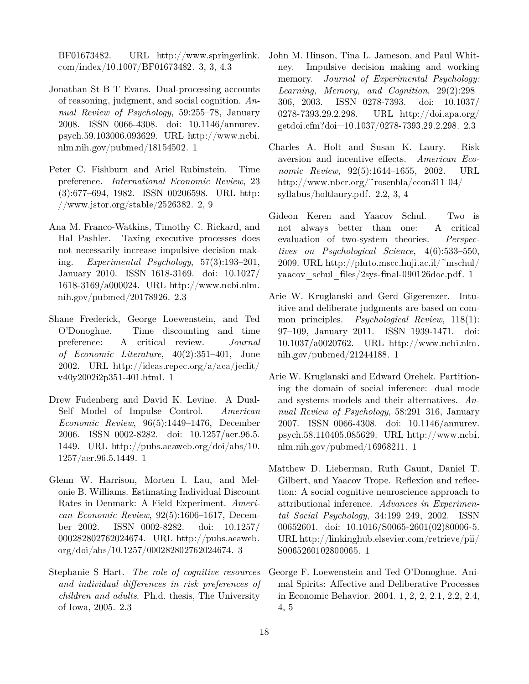BF01673482. URL [http://www.springerlink.](http://www.springerlink.com/index/10.1007/BF01673482) [com/index/10.1007/BF01673482](http://www.springerlink.com/index/10.1007/BF01673482). [3,](#page-6-0) [3,](#page-7-1) [4.3](#page-14-0)

- <span id="page-17-0"></span>Jonathan St B T Evans. Dual-processing accounts of reasoning, judgment, and social cognition. *Annual Review of Psychology*, 59:255–78, January 2008. ISSN 0066-4308. doi: 10.1146/annurev. psych.59.103006.093629. URL [http://www.ncbi.](http://www.ncbi.nlm.nih.gov/pubmed/18154502) [nlm.nih.gov/pubmed/18154502](http://www.ncbi.nlm.nih.gov/pubmed/18154502). [1](#page-0-0)
- <span id="page-17-8"></span>Peter C. Fishburn and Ariel Rubinstein. Time preference. *International Economic Review*, 23 (3):677–694, 1982. ISSN 00206598. URL [http:](http://www.jstor.org/stable/2526382) [//www.jstor.org/stable/2526382](http://www.jstor.org/stable/2526382). [2,](#page-2-0) [9](#page-10-0)
- <span id="page-17-11"></span>Ana M. Franco-Watkins, Timothy C. Rickard, and Hal Pashler. Taxing executive processes does not necessarily increase impulsive decision making. *Experimental Psychology*, 57(3):193–201, January 2010. ISSN 1618-3169. doi: 10.1027/ 1618-3169/a000024. URL [http://www.ncbi.nlm.](http://www.ncbi.nlm.nih.gov/pubmed/20178926) [nih.gov/pubmed/20178926](http://www.ncbi.nlm.nih.gov/pubmed/20178926). [2.3](#page-4-1)
- <span id="page-17-7"></span>Shane Frederick, George Loewenstein, and Ted O'Donoghue. Time discounting and time preference: A critical review. *Journal of Economic Literature*, 40(2):351–401, June 2002. URL [http://ideas.repec.org/a/aea/jeclit/](http://ideas.repec.org/a/aea/jeclit/v40y2002i2p351-401.html) [v40y2002i2p351-401.html](http://ideas.repec.org/a/aea/jeclit/v40y2002i2p351-401.html). [1](#page-0-0)
- <span id="page-17-6"></span>Drew Fudenberg and David K. Levine. A Dual-Self Model of Impulse Control. *American Economic Review*, 96(5):1449–1476, December 2006. ISSN 0002-8282. doi: 10.1257/aer.96.5. 1449. URL [http://pubs.aeaweb.org/doi/abs/10.](http://pubs.aeaweb.org/doi/abs/10.1257/aer.96.5.1449) [1257/aer.96.5.1449](http://pubs.aeaweb.org/doi/abs/10.1257/aer.96.5.1449). [1](#page-0-0)
- <span id="page-17-13"></span>Glenn W. Harrison, Morten I. Lau, and Melonie B. Williams. Estimating Individual Discount Rates in Denmark: A Field Experiment. *American Economic Review*, 92(5):1606–1617, December 2002. ISSN 0002-8282. doi: 10.1257/ 000282802762024674. URL [http://pubs.aeaweb.](http://pubs.aeaweb.org/doi/abs/10.1257/000282802762024674) [org/doi/abs/10.1257/000282802762024674](http://pubs.aeaweb.org/doi/abs/10.1257/000282802762024674). [3](#page-6-0)
- <span id="page-17-12"></span>Stephanie S Hart. *The role of cognitive resources and individual differences in risk preferences of children and adults*. Ph.d. thesis, The University of Iowa, 2005. [2.3](#page-4-1)
- <span id="page-17-10"></span>John M. Hinson, Tina L. Jameson, and Paul Whitney. Impulsive decision making and working memory. *Journal of Experimental Psychology: Learning, Memory, and Cognition*, 29(2):298– 306, 2003. ISSN 0278-7393. doi: 10.1037/ 0278-7393.29.2.298. URL [http://doi.apa.org/](http://doi.apa.org/getdoi.cfm?doi=10.1037/0278-7393.29.2.298) [getdoi.cfm?doi=10.1037/0278-7393.29.2.298](http://doi.apa.org/getdoi.cfm?doi=10.1037/0278-7393.29.2.298). [2.3](#page-4-1)
- <span id="page-17-9"></span>Charles A. Holt and Susan K. Laury. Risk aversion and incentive effects. *American Economic Review*, 92(5):1644–1655, 2002. URL [http://www.nber.org/~rosenbla/econ311-04/](http://www.nber.org/~rosenbla/econ311-04/syllabus/holtlaury.pdf) [syllabus/holtlaury.pdf](http://www.nber.org/~rosenbla/econ311-04/syllabus/holtlaury.pdf). [2.2,](#page-3-3) [3,](#page-6-0) [4](#page-8-4)
- <span id="page-17-4"></span>Gideon Keren and Yaacov Schul. Two is not always better than one: A critical evaluation of two-system theories. *Perspectives on Psychological Science*, 4(6):533–550, 2009. URL [http://pluto.mscc.huji.ac.il/~mschul/](http://pluto.mscc.huji.ac.il/~mschul/yaacov_schul_files/2sys-final-090126doc.pdf) yaacov schul files/2sys-final-090126doc.pdf. [1](#page-0-0)
- <span id="page-17-3"></span>Arie W. Kruglanski and Gerd Gigerenzer. Intuitive and deliberate judgments are based on common principles. *Psychological Review*, 118(1): 97–109, January 2011. ISSN 1939-1471. doi: 10.1037/a0020762. URL [http://www.ncbi.nlm.](http://www.ncbi.nlm.nih.gov/pubmed/21244188) [nih.gov/pubmed/21244188](http://www.ncbi.nlm.nih.gov/pubmed/21244188). [1](#page-0-0)
- <span id="page-17-1"></span>Arie W. Kruglanski and Edward Orehek. Partitioning the domain of social inference: dual mode and systems models and their alternatives. *Annual Review of Psychology*, 58:291–316, January 2007. ISSN 0066-4308. doi: 10.1146/annurev. psych.58.110405.085629. URL [http://www.ncbi.](http://www.ncbi.nlm.nih.gov/pubmed/16968211) [nlm.nih.gov/pubmed/16968211](http://www.ncbi.nlm.nih.gov/pubmed/16968211). [1](#page-0-0)
- <span id="page-17-2"></span>Matthew D. Lieberman, Ruth Gaunt, Daniel T. Gilbert, and Yaacov Trope. Reflexion and reflection: A social cognitive neuroscience approach to attributional inference. *Advances in Experimental Social Psychology*, 34:199–249, 2002. ISSN 00652601. doi: 10.1016/S0065-2601(02)80006-5. URL [http://linkinghub.elsevier.com/retrieve/pii/](http://linkinghub.elsevier.com/retrieve/pii/S0065260102800065) [S0065260102800065](http://linkinghub.elsevier.com/retrieve/pii/S0065260102800065). [1](#page-0-0)
- <span id="page-17-5"></span>George F. Loewenstein and Ted O'Donoghue. Animal Spirits: Affective and Deliberative Processes in Economic Behavior. 2004. [1,](#page-0-0) [2,](#page-1-1) [2,](#page-2-2) [2.1,](#page-2-3) [2.2,](#page-3-4) [2.4,](#page-4-0) [4,](#page-8-4) [5](#page-15-1)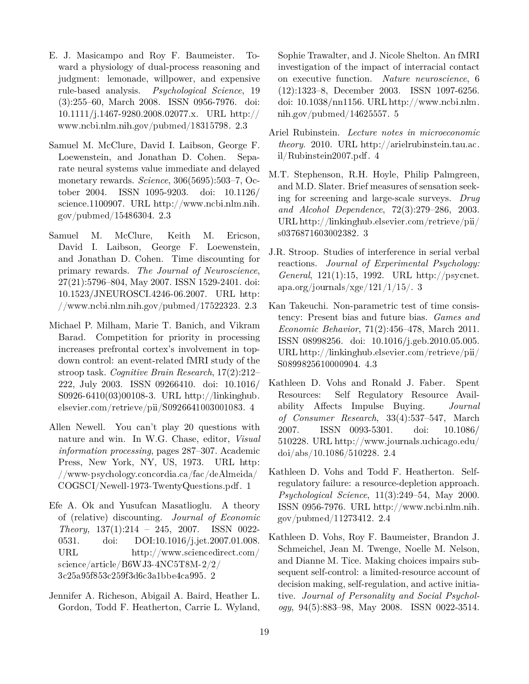- <span id="page-18-5"></span>E. J. Masicampo and Roy F. Baumeister. Toward a physiology of dual-process reasoning and judgment: lemonade, willpower, and expensive rule-based analysis. *Psychological Science*, 19 (3):255–60, March 2008. ISSN 0956-7976. doi: 10.1111/j.1467-9280.2008.02077.x. URL [http://](http://www.ncbi.nlm.nih.gov/pubmed/18315798) [www.ncbi.nlm.nih.gov/pubmed/18315798](http://www.ncbi.nlm.nih.gov/pubmed/18315798). [2.3](#page-4-1)
- <span id="page-18-4"></span>Samuel M. McClure, David I. Laibson, George F. Loewenstein, and Jonathan D. Cohen. Separate neural systems value immediate and delayed monetary rewards. *Science*, 306(5695):503–7, October 2004. ISSN 1095-9203. doi: 10.1126/ science.1100907. URL [http://www.ncbi.nlm.nih.](http://www.ncbi.nlm.nih.gov/pubmed/15486304) [gov/pubmed/15486304](http://www.ncbi.nlm.nih.gov/pubmed/15486304). [2.3](#page-4-1)
- <span id="page-18-3"></span>Samuel M. McClure, Keith M. Ericson, David I. Laibson, George F. Loewenstein, and Jonathan D. Cohen. Time discounting for primary rewards. *The Journal of Neuroscience*, 27(21):5796–804, May 2007. ISSN 1529-2401. doi: 10.1523/JNEUROSCI.4246-06.2007. URL [http:](http://www.ncbi.nlm.nih.gov/pubmed/17522323) [//www.ncbi.nlm.nih.gov/pubmed/17522323](http://www.ncbi.nlm.nih.gov/pubmed/17522323). [2.3](#page-4-1)
- <span id="page-18-12"></span>Michael P. Milham, Marie T. Banich, and Vikram Barad. Competition for priority in processing increases prefrontal cortex's involvement in topdown control: an event-related fMRI study of the stroop task. *Cognitive Brain Research*, 17(2):212– 222, July 2003. ISSN 09266410. doi: 10.1016/ S0926-6410(03)00108-3. URL [http://linkinghub.](http://linkinghub.elsevier.com/retrieve/pii/S0926641003001083) [elsevier.com/retrieve/pii/S0926641003001083](http://linkinghub.elsevier.com/retrieve/pii/S0926641003001083). [4](#page-8-3)
- <span id="page-18-0"></span>Allen Newell. You can't play 20 questions with nature and win. In W.G. Chase, editor, *Visual information processing*, pages 287–307. Academic Press, New York, NY, US, 1973. URL [http:](http://www-psychology.concordia.ca/fac/deAlmeida/COGSCI/Newell-1973-TwentyQuestions.pdf) [//www-psychology.concordia.ca/fac/deAlmeida/](http://www-psychology.concordia.ca/fac/deAlmeida/COGSCI/Newell-1973-TwentyQuestions.pdf) [COGSCI/Newell-1973-TwentyQuestions.pdf](http://www-psychology.concordia.ca/fac/deAlmeida/COGSCI/Newell-1973-TwentyQuestions.pdf). [1](#page-0-0)
- <span id="page-18-1"></span>Efe A. Ok and Yusufcan Masatlioglu. A theory of (relative) discounting. *Journal of Economic Theory*, 137(1):214 – 245, 2007. ISSN 0022- 0531. doi: DOI:10.1016/j.jet.2007.01.008. URL [http://www.sciencedirect.com/](http://www.sciencedirect.com/science/article/B6WJ3-4NC5T8M-2/2/3c25a95f853c259f3d6c3a1bbe4ca995) [science/article/B6WJ3-4NC5T8M-2/2/](http://www.sciencedirect.com/science/article/B6WJ3-4NC5T8M-2/2/3c25a95f853c259f3d6c3a1bbe4ca995) [3c25a95f853c259f3d6c3a1bbe4ca995](http://www.sciencedirect.com/science/article/B6WJ3-4NC5T8M-2/2/3c25a95f853c259f3d6c3a1bbe4ca995). [2](#page-2-0)
- <span id="page-18-9"></span>Jennifer A. Richeson, Abigail A. Baird, Heather L. Gordon, Todd F. Heatherton, Carrie L. Wyland,

Sophie Trawalter, and J. Nicole Shelton. An fMRI investigation of the impact of interracial contact on executive function. *Nature neuroscience*, 6 (12):1323–8, December 2003. ISSN 1097-6256. doi: 10.1038/nn1156. URL [http://www.ncbi.nlm.](http://www.ncbi.nlm.nih.gov/pubmed/14625557) [nih.gov/pubmed/14625557](http://www.ncbi.nlm.nih.gov/pubmed/14625557). [5](#page-5-0)

- <span id="page-18-2"></span>Ariel Rubinstein. *Lecture notes in microeconomic theory*. 2010. URL [http://arielrubinstein.tau.ac.](http://arielrubinstein.tau.ac.il/Rubinstein2007.pdf) [il/Rubinstein2007.pdf](http://arielrubinstein.tau.ac.il/Rubinstein2007.pdf). [4](#page-3-1)
- <span id="page-18-11"></span>M.T. Stephenson, R.H. Hoyle, Philip Palmgreen, and M.D. Slater. Brief measures of sensation seeking for screening and large-scale surveys. *Drug and Alcohol Dependence*, 72(3):279–286, 2003. URL [http://linkinghub.elsevier.com/retrieve/pii/](http://linkinghub.elsevier.com/retrieve/pii/s0376871603002382) [s0376871603002382](http://linkinghub.elsevier.com/retrieve/pii/s0376871603002382). [3](#page-6-1)
- <span id="page-18-10"></span>J.R. Stroop. Studies of interference in serial verbal reactions. *Journal of Experimental Psychology: General*, 121(1):15, 1992. URL [http://psycnet.](http://psycnet.apa.org/journals/xge/121/1/15/) [apa.org/journals/xge/121/1/15/](http://psycnet.apa.org/journals/xge/121/1/15/). [3](#page-5-1)
- <span id="page-18-13"></span>Kan Takeuchi. Non-parametric test of time consistency: Present bias and future bias. *Games and Economic Behavior*, 71(2):456–478, March 2011. ISSN 08998256. doi: 10.1016/j.geb.2010.05.005. URL [http://linkinghub.elsevier.com/retrieve/pii/](http://linkinghub.elsevier.com/retrieve/pii/S0899825610000904) [S0899825610000904](http://linkinghub.elsevier.com/retrieve/pii/S0899825610000904). [4.3](#page-13-1)
- <span id="page-18-6"></span>Kathleen D. Vohs and Ronald J. Faber. Spent Resources: Self Regulatory Resource Availability Affects Impulse Buying. *Journal of Consumer Research*, 33(4):537–547, March 2007. ISSN 0093-5301. doi: 10.1086/ 510228. URL [http://www.journals.uchicago.edu/](http://www.journals.uchicago.edu/doi/abs/10.1086/510228) [doi/abs/10.1086/510228](http://www.journals.uchicago.edu/doi/abs/10.1086/510228). [2.4](#page-4-0)
- <span id="page-18-7"></span>Kathleen D. Vohs and Todd F. Heatherton. Selfregulatory failure: a resource-depletion approach. *Psychological Science*, 11(3):249–54, May 2000. ISSN 0956-7976. URL [http://www.ncbi.nlm.nih.](http://www.ncbi.nlm.nih.gov/pubmed/11273412) [gov/pubmed/11273412](http://www.ncbi.nlm.nih.gov/pubmed/11273412). [2.4](#page-4-0)
- <span id="page-18-8"></span>Kathleen D. Vohs, Roy F. Baumeister, Brandon J. Schmeichel, Jean M. Twenge, Noelle M. Nelson, and Dianne M. Tice. Making choices impairs subsequent self-control: a limited-resource account of decision making, self-regulation, and active initiative. *Journal of Personality and Social Psychology*, 94(5):883–98, May 2008. ISSN 0022-3514.